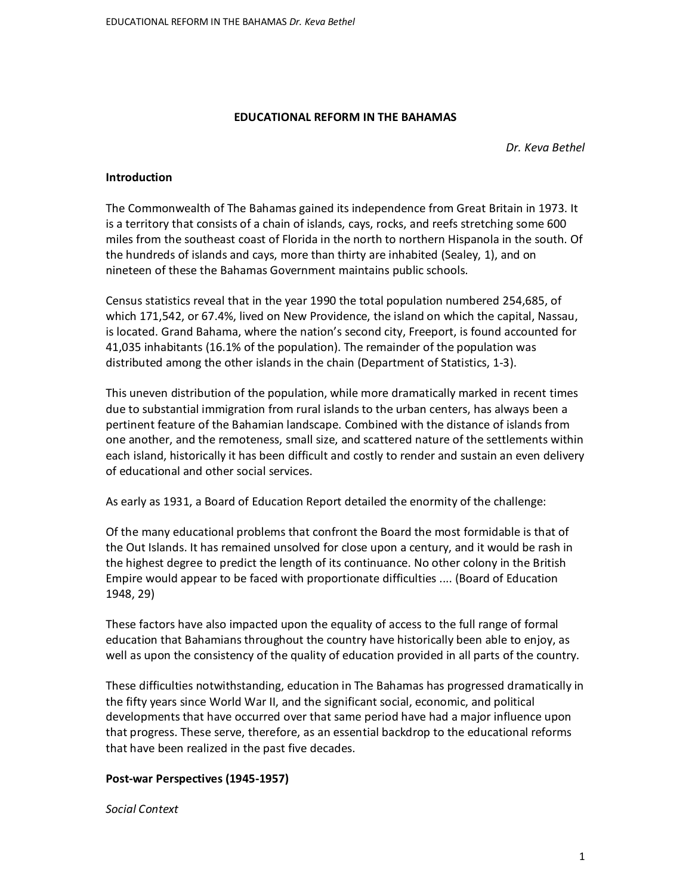### **EDUCATIONAL REFORM IN THE BAHAMAS**

*Dr. Keva Bethel* 

#### **Introduction**

The Commonwealth of The Bahamas gained its independence from Great Britain in 1973. It is a territory that consists of a chain of islands, cays, rocks, and reefs stretching some 600 miles from the southeast coast of Florida in the north to northern Hispanola in the south. Of the hundreds of islands and cays, more than thirty are inhabited (Sealey, 1), and on nineteen of these the Bahamas Government maintains public schools.

Census statistics reveal that in the year 1990 the total population numbered 254,685, of which 171,542, or 67.4%, lived on New Providence, the island on which the capital, Nassau, is located. Grand Bahama, where the nation's second city, Freeport, is found accounted for 41,035 inhabitants (16.1% of the population). The remainder of the population was distributed among the other islands in the chain (Department of Statistics, 1-3).

This uneven distribution of the population, while more dramatically marked in recent times due to substantial immigration from rural islands to the urban centers, has always been a pertinent feature of the Bahamian landscape. Combined with the distance of islands from one another, and the remoteness, small size, and scattered nature of the settlements within each island, historically it has been difficult and costly to render and sustain an even delivery of educational and other social services.

As early as 1931, a Board of Education Report detailed the enormity of the challenge:

Of the many educational problems that confront the Board the most formidable is that of the Out Islands. It has remained unsolved for close upon a century, and it would be rash in the highest degree to predict the length of its continuance. No other colony in the British Empire would appear to be faced with proportionate difficulties .... (Board of Education 1948, 29)

These factors have also impacted upon the equality of access to the full range of formal education that Bahamians throughout the country have historically been able to enjoy, as well as upon the consistency of the quality of education provided in all parts of the country.

These difficulties notwithstanding, education in The Bahamas has progressed dramatically in the fifty years since World War II, and the significant social, economic, and political developments that have occurred over that same period have had a major influence upon that progress. These serve, therefore, as an essential backdrop to the educational reforms that have been realized in the past five decades.

## **Post-war Perspectives (1945-1957)**

*Social Context*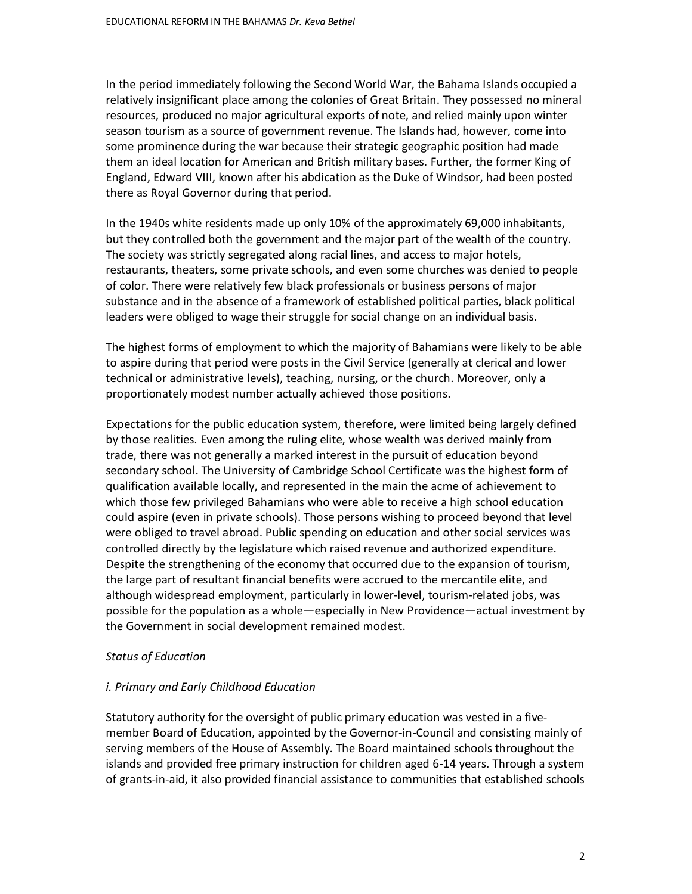In the period immediately following the Second World War, the Bahama Islands occupied a relatively insignificant place among the colonies of Great Britain. They possessed no mineral resources, produced no major agricultural exports of note, and relied mainly upon winter season tourism as a source of government revenue. The Islands had, however, come into some prominence during the war because their strategic geographic position had made them an ideal location for American and British military bases. Further, the former King of England, Edward VIII, known after his abdication as the Duke of Windsor, had been posted there as Royal Governor during that period.

In the 1940s white residents made up only 10% of the approximately 69,000 inhabitants, but they controlled both the government and the major part of the wealth of the country. The society was strictly segregated along racial lines, and access to major hotels, restaurants, theaters, some private schools, and even some churches was denied to people of color. There were relatively few black professionals or business persons of major substance and in the absence of a framework of established political parties, black political leaders were obliged to wage their struggle for social change on an individual basis.

The highest forms of employment to which the majority of Bahamians were likely to be able to aspire during that period were posts in the Civil Service (generally at clerical and lower technical or administrative levels), teaching, nursing, or the church. Moreover, only a proportionately modest number actually achieved those positions.

Expectations for the public education system, therefore, were limited being largely defined by those realities. Even among the ruling elite, whose wealth was derived mainly from trade, there was not generally a marked interest in the pursuit of education beyond secondary school. The University of Cambridge School Certificate was the highest form of qualification available locally, and represented in the main the acme of achievement to which those few privileged Bahamians who were able to receive a high school education could aspire (even in private schools). Those persons wishing to proceed beyond that level were obliged to travel abroad. Public spending on education and other social services was controlled directly by the legislature which raised revenue and authorized expenditure. Despite the strengthening of the economy that occurred due to the expansion of tourism, the large part of resultant financial benefits were accrued to the mercantile elite, and although widespread employment, particularly in lower-level, tourism-related jobs, was possible for the population as a whole—especially in New Providence—actual investment by the Government in social development remained modest.

#### *Status of Education*

#### *i. Primary and Early Childhood Education*

Statutory authority for the oversight of public primary education was vested in a fivemember Board of Education, appointed by the Governor-in-Council and consisting mainly of serving members of the House of Assembly. The Board maintained schools throughout the islands and provided free primary instruction for children aged 6-14 years. Through a system of grants-in-aid, it also provided financial assistance to communities that established schools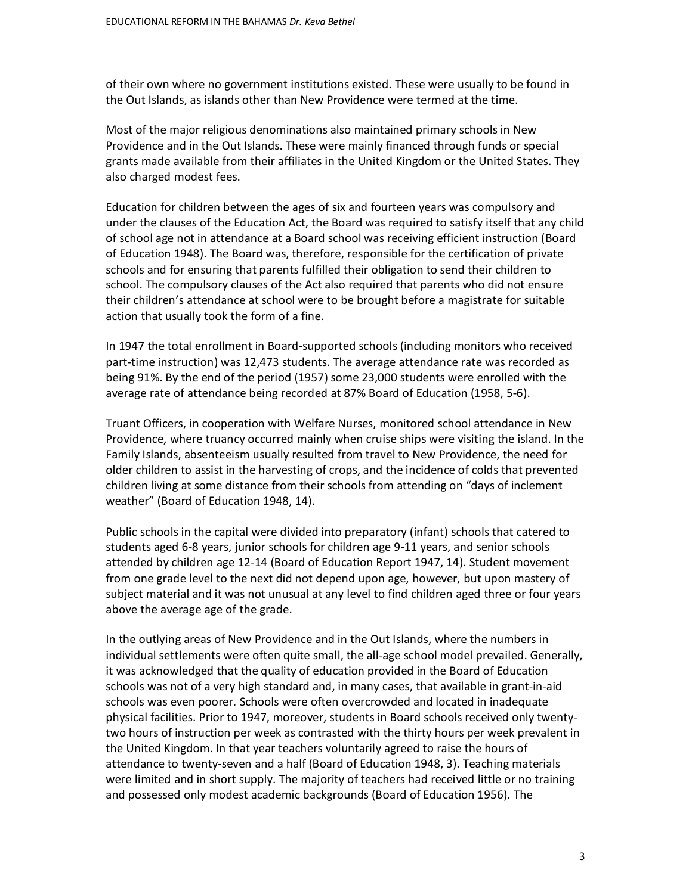of their own where no government institutions existed. These were usually to be found in the Out Islands, as islands other than New Providence were termed at the time.

Most of the major religious denominations also maintained primary schools in New Providence and in the Out Islands. These were mainly financed through funds or special grants made available from their affiliates in the United Kingdom or the United States. They also charged modest fees.

Education for children between the ages of six and fourteen years was compulsory and under the clauses of the Education Act, the Board was required to satisfy itself that any child of school age not in attendance at a Board school was receiving efficient instruction (Board of Education 1948). The Board was, therefore, responsible for the certification of private schools and for ensuring that parents fulfilled their obligation to send their children to school. The compulsory clauses of the Act also required that parents who did not ensure their children's attendance at school were to be brought before a magistrate for suitable action that usually took the form of a fine.

In 1947 the total enrollment in Board-supported schools (including monitors who received part-time instruction) was 12,473 students. The average attendance rate was recorded as being 91%. By the end of the period (1957) some 23,000 students were enrolled with the average rate of attendance being recorded at 87% Board of Education (1958, 5-6).

Truant Officers, in cooperation with Welfare Nurses, monitored school attendance in New Providence, where truancy occurred mainly when cruise ships were visiting the island. In the Family Islands, absenteeism usually resulted from travel to New Providence, the need for older children to assist in the harvesting of crops, and the incidence of colds that prevented children living at some distance from their schools from attending on "days of inclement weather" (Board of Education 1948, 14).

Public schools in the capital were divided into preparatory (infant) schools that catered to students aged 6-8 years, junior schools for children age 9-11 years, and senior schools attended by children age 12-14 (Board of Education Report 1947, 14). Student movement from one grade level to the next did not depend upon age, however, but upon mastery of subject material and it was not unusual at any level to find children aged three or four years above the average age of the grade.

In the outlying areas of New Providence and in the Out Islands, where the numbers in individual settlements were often quite small, the all-age school model prevailed. Generally, it was acknowledged that the quality of education provided in the Board of Education schools was not of a very high standard and, in many cases, that available in grant-in-aid schools was even poorer. Schools were often overcrowded and located in inadequate physical facilities. Prior to 1947, moreover, students in Board schools received only twentytwo hours of instruction per week as contrasted with the thirty hours per week prevalent in the United Kingdom. In that year teachers voluntarily agreed to raise the hours of attendance to twenty-seven and a half (Board of Education 1948, 3). Teaching materials were limited and in short supply. The majority of teachers had received little or no training and possessed only modest academic backgrounds (Board of Education 1956). The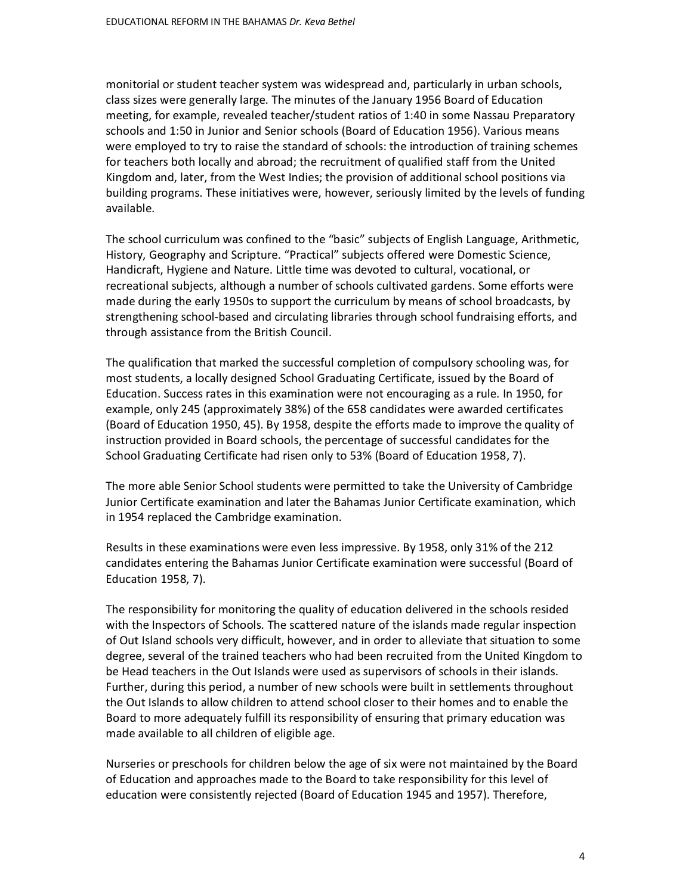monitorial or student teacher system was widespread and, particularly in urban schools, class sizes were generally large. The minutes of the January 1956 Board of Education meeting, for example, revealed teacher/student ratios of 1:40 in some Nassau Preparatory schools and 1:50 in Junior and Senior schools (Board of Education 1956). Various means were employed to try to raise the standard of schools: the introduction of training schemes for teachers both locally and abroad; the recruitment of qualified staff from the United Kingdom and, later, from the West Indies; the provision of additional school positions via building programs. These initiatives were, however, seriously limited by the levels of funding available.

The school curriculum was confined to the "basic" subjects of English Language, Arithmetic, History, Geography and Scripture. "Practical" subjects offered were Domestic Science, Handicraft, Hygiene and Nature. Little time was devoted to cultural, vocational, or recreational subjects, although a number of schools cultivated gardens. Some efforts were made during the early 1950s to support the curriculum by means of school broadcasts, by strengthening school-based and circulating libraries through school fundraising efforts, and through assistance from the British Council.

The qualification that marked the successful completion of compulsory schooling was, for most students, a locally designed School Graduating Certificate, issued by the Board of Education. Success rates in this examination were not encouraging as a rule. In 1950, for example, only 245 (approximately 38%) of the 658 candidates were awarded certificates (Board of Education 1950, 45). By 1958, despite the efforts made to improve the quality of instruction provided in Board schools, the percentage of successful candidates for the School Graduating Certificate had risen only to 53% (Board of Education 1958, 7).

The more able Senior School students were permitted to take the University of Cambridge Junior Certificate examination and later the Bahamas Junior Certificate examination, which in 1954 replaced the Cambridge examination.

Results in these examinations were even less impressive. By 1958, only 31% of the 212 candidates entering the Bahamas Junior Certificate examination were successful (Board of Education 1958, 7).

The responsibility for monitoring the quality of education delivered in the schools resided with the Inspectors of Schools. The scattered nature of the islands made regular inspection of Out Island schools very difficult, however, and in order to alleviate that situation to some degree, several of the trained teachers who had been recruited from the United Kingdom to be Head teachers in the Out Islands were used as supervisors of schools in their islands. Further, during this period, a number of new schools were built in settlements throughout the Out Islands to allow children to attend school closer to their homes and to enable the Board to more adequately fulfill its responsibility of ensuring that primary education was made available to all children of eligible age.

Nurseries or preschools for children below the age of six were not maintained by the Board of Education and approaches made to the Board to take responsibility for this level of education were consistently rejected (Board of Education 1945 and 1957). Therefore,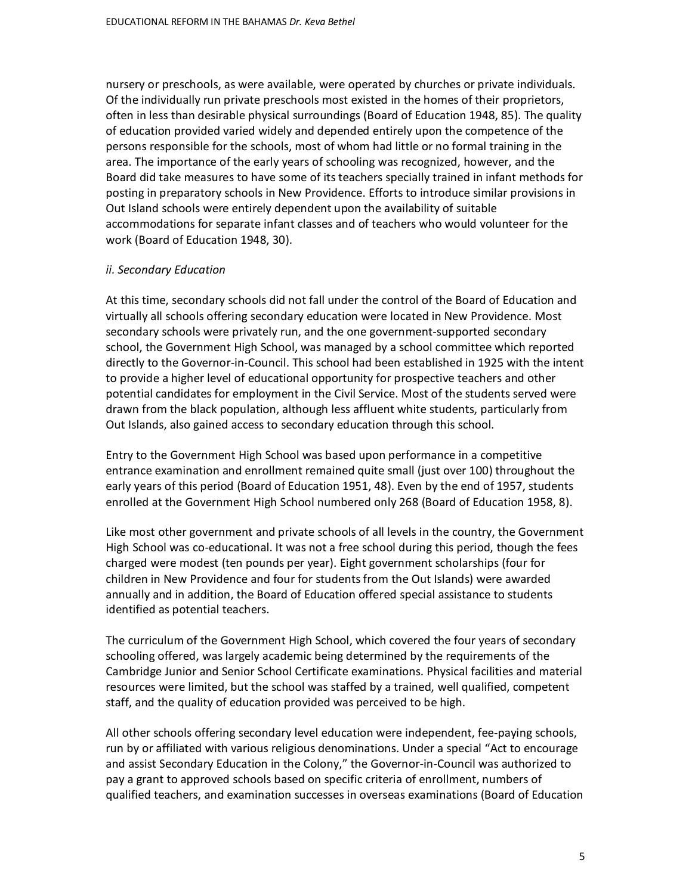nursery or preschools, as were available, were operated by churches or private individuals. Of the individually run private preschools most existed in the homes of their proprietors, often in less than desirable physical surroundings (Board of Education 1948, 85). The quality of education provided varied widely and depended entirely upon the competence of the persons responsible for the schools, most of whom had little or no formal training in the area. The importance of the early years of schooling was recognized, however, and the Board did take measures to have some of its teachers specially trained in infant methods for posting in preparatory schools in New Providence. Efforts to introduce similar provisions in Out Island schools were entirely dependent upon the availability of suitable accommodations for separate infant classes and of teachers who would volunteer for the work (Board of Education 1948, 30).

#### *ii. Secondary Education*

At this time, secondary schools did not fall under the control of the Board of Education and virtually all schools offering secondary education were located in New Providence. Most secondary schools were privately run, and the one government-supported secondary school, the Government High School, was managed by a school committee which reported directly to the Governor-in-Council. This school had been established in 1925 with the intent to provide a higher level of educational opportunity for prospective teachers and other potential candidates for employment in the Civil Service. Most of the students served were drawn from the black population, although less affluent white students, particularly from Out Islands, also gained access to secondary education through this school.

Entry to the Government High School was based upon performance in a competitive entrance examination and enrollment remained quite small (just over 100) throughout the early years of this period (Board of Education 1951, 48). Even by the end of 1957, students enrolled at the Government High School numbered only 268 (Board of Education 1958, 8).

Like most other government and private schools of all levels in the country, the Government High School was co-educational. It was not a free school during this period, though the fees charged were modest (ten pounds per year). Eight government scholarships (four for children in New Providence and four for students from the Out Islands) were awarded annually and in addition, the Board of Education offered special assistance to students identified as potential teachers.

The curriculum of the Government High School, which covered the four years of secondary schooling offered, was largely academic being determined by the requirements of the Cambridge Junior and Senior School Certificate examinations. Physical facilities and material resources were limited, but the school was staffed by a trained, well qualified, competent staff, and the quality of education provided was perceived to be high.

All other schools offering secondary level education were independent, fee-paying schools, run by or affiliated with various religious denominations. Under a special "Act to encourage and assist Secondary Education in the Colony," the Governor-in-Council was authorized to pay a grant to approved schools based on specific criteria of enrollment, numbers of qualified teachers, and examination successes in overseas examinations (Board of Education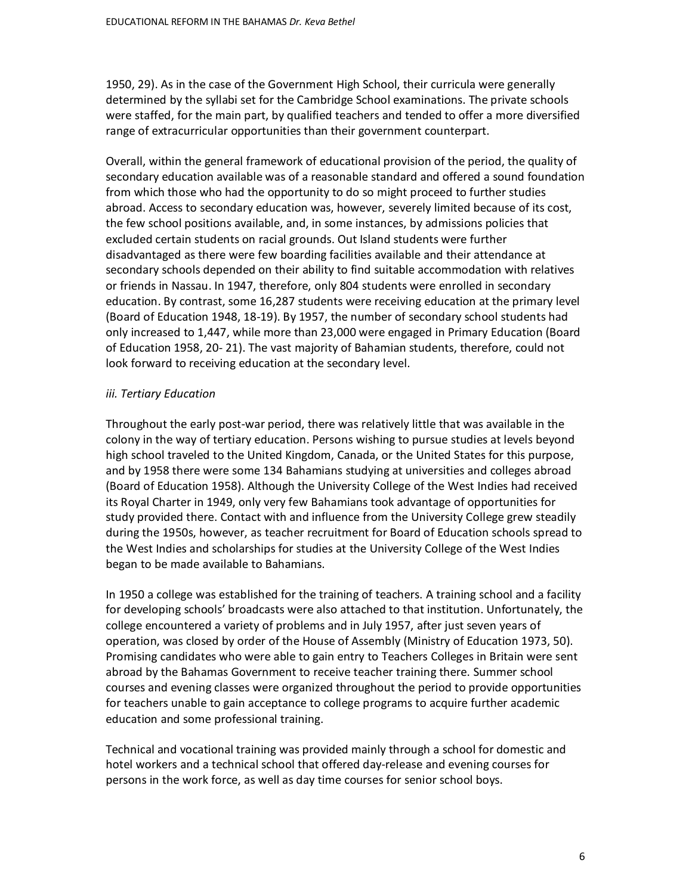1950, 29). As in the case of the Government High School, their curricula were generally determined by the syllabi set for the Cambridge School examinations. The private schools were staffed, for the main part, by qualified teachers and tended to offer a more diversified range of extracurricular opportunities than their government counterpart.

Overall, within the general framework of educational provision of the period, the quality of secondary education available was of a reasonable standard and offered a sound foundation from which those who had the opportunity to do so might proceed to further studies abroad. Access to secondary education was, however, severely limited because of its cost, the few school positions available, and, in some instances, by admissions policies that excluded certain students on racial grounds. Out Island students were further disadvantaged as there were few boarding facilities available and their attendance at secondary schools depended on their ability to find suitable accommodation with relatives or friends in Nassau. In 1947, therefore, only 804 students were enrolled in secondary education. By contrast, some 16,287 students were receiving education at the primary level (Board of Education 1948, 18-19). By 1957, the number of secondary school students had only increased to 1,447, while more than 23,000 were engaged in Primary Education (Board of Education 1958, 20- 21). The vast majority of Bahamian students, therefore, could not look forward to receiving education at the secondary level.

## *iii. Tertiary Education*

Throughout the early post-war period, there was relatively little that was available in the colony in the way of tertiary education. Persons wishing to pursue studies at levels beyond high school traveled to the United Kingdom, Canada, or the United States for this purpose, and by 1958 there were some 134 Bahamians studying at universities and colleges abroad (Board of Education 1958). Although the University College of the West Indies had received its Royal Charter in 1949, only very few Bahamians took advantage of opportunities for study provided there. Contact with and influence from the University College grew steadily during the 1950s, however, as teacher recruitment for Board of Education schools spread to the West Indies and scholarships for studies at the University College of the West Indies began to be made available to Bahamians.

In 1950 a college was established for the training of teachers. A training school and a facility for developing schools' broadcasts were also attached to that institution. Unfortunately, the college encountered a variety of problems and in July 1957, after just seven years of operation, was closed by order of the House of Assembly (Ministry of Education 1973, 50). Promising candidates who were able to gain entry to Teachers Colleges in Britain were sent abroad by the Bahamas Government to receive teacher training there. Summer school courses and evening classes were organized throughout the period to provide opportunities for teachers unable to gain acceptance to college programs to acquire further academic education and some professional training.

Technical and vocational training was provided mainly through a school for domestic and hotel workers and a technical school that offered day-release and evening courses for persons in the work force, as well as day time courses for senior school boys.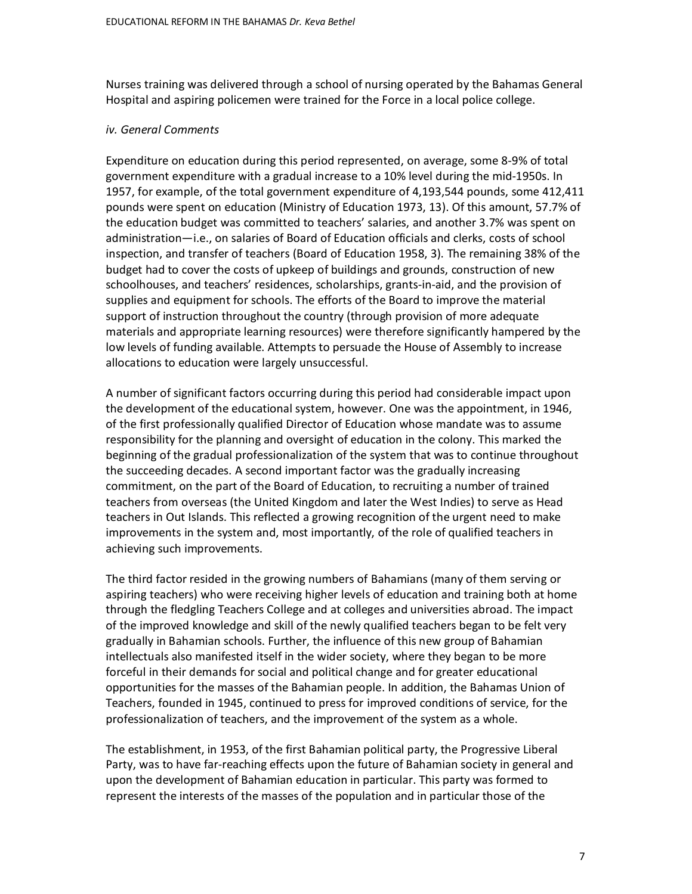Nurses training was delivered through a school of nursing operated by the Bahamas General Hospital and aspiring policemen were trained for the Force in a local police college.

#### *iv. General Comments*

Expenditure on education during this period represented, on average, some 8-9% of total government expenditure with a gradual increase to a 10% level during the mid-1950s. In 1957, for example, of the total government expenditure of 4,193,544 pounds, some 412,411 pounds were spent on education (Ministry of Education 1973, 13). Of this amount, 57.7% of the education budget was committed to teachers' salaries, and another 3.7% was spent on administration—i.e., on salaries of Board of Education officials and clerks, costs of school inspection, and transfer of teachers (Board of Education 1958, 3). The remaining 38% of the budget had to cover the costs of upkeep of buildings and grounds, construction of new schoolhouses, and teachers' residences, scholarships, grants-in-aid, and the provision of supplies and equipment for schools. The efforts of the Board to improve the material support of instruction throughout the country (through provision of more adequate materials and appropriate learning resources) were therefore significantly hampered by the low levels of funding available. Attempts to persuade the House of Assembly to increase allocations to education were largely unsuccessful.

A number of significant factors occurring during this period had considerable impact upon the development of the educational system, however. One was the appointment, in 1946, of the first professionally qualified Director of Education whose mandate was to assume responsibility for the planning and oversight of education in the colony. This marked the beginning of the gradual professionalization of the system that was to continue throughout the succeeding decades. A second important factor was the gradually increasing commitment, on the part of the Board of Education, to recruiting a number of trained teachers from overseas (the United Kingdom and later the West Indies) to serve as Head teachers in Out Islands. This reflected a growing recognition of the urgent need to make improvements in the system and, most importantly, of the role of qualified teachers in achieving such improvements.

The third factor resided in the growing numbers of Bahamians (many of them serving or aspiring teachers) who were receiving higher levels of education and training both at home through the fledgling Teachers College and at colleges and universities abroad. The impact of the improved knowledge and skill of the newly qualified teachers began to be felt very gradually in Bahamian schools. Further, the influence of this new group of Bahamian intellectuals also manifested itself in the wider society, where they began to be more forceful in their demands for social and political change and for greater educational opportunities for the masses of the Bahamian people. In addition, the Bahamas Union of Teachers, founded in 1945, continued to press for improved conditions of service, for the professionalization of teachers, and the improvement of the system as a whole.

The establishment, in 1953, of the first Bahamian political party, the Progressive Liberal Party, was to have far-reaching effects upon the future of Bahamian society in general and upon the development of Bahamian education in particular. This party was formed to represent the interests of the masses of the population and in particular those of the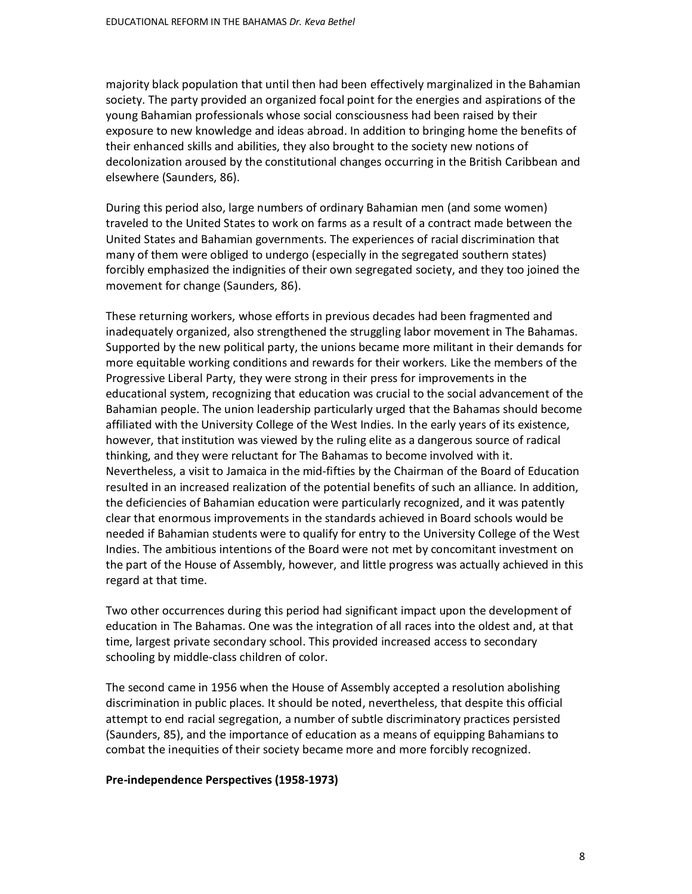majority black population that until then had been effectively marginalized in the Bahamian society. The party provided an organized focal point for the energies and aspirations of the young Bahamian professionals whose social consciousness had been raised by their exposure to new knowledge and ideas abroad. In addition to bringing home the benefits of their enhanced skills and abilities, they also brought to the society new notions of decolonization aroused by the constitutional changes occurring in the British Caribbean and elsewhere (Saunders, 86).

During this period also, large numbers of ordinary Bahamian men (and some women) traveled to the United States to work on farms as a result of a contract made between the United States and Bahamian governments. The experiences of racial discrimination that many of them were obliged to undergo (especially in the segregated southern states) forcibly emphasized the indignities of their own segregated society, and they too joined the movement for change (Saunders, 86).

These returning workers, whose efforts in previous decades had been fragmented and inadequately organized, also strengthened the struggling labor movement in The Bahamas. Supported by the new political party, the unions became more militant in their demands for more equitable working conditions and rewards for their workers. Like the members of the Progressive Liberal Party, they were strong in their press for improvements in the educational system, recognizing that education was crucial to the social advancement of the Bahamian people. The union leadership particularly urged that the Bahamas should become affiliated with the University College of the West Indies. In the early years of its existence, however, that institution was viewed by the ruling elite as a dangerous source of radical thinking, and they were reluctant for The Bahamas to become involved with it. Nevertheless, a visit to Jamaica in the mid-fifties by the Chairman of the Board of Education resulted in an increased realization of the potential benefits of such an alliance. In addition, the deficiencies of Bahamian education were particularly recognized, and it was patently clear that enormous improvements in the standards achieved in Board schools would be needed if Bahamian students were to qualify for entry to the University College of the West Indies. The ambitious intentions of the Board were not met by concomitant investment on the part of the House of Assembly, however, and little progress was actually achieved in this regard at that time.

Two other occurrences during this period had significant impact upon the development of education in The Bahamas. One was the integration of all races into the oldest and, at that time, largest private secondary school. This provided increased access to secondary schooling by middle-class children of color.

The second came in 1956 when the House of Assembly accepted a resolution abolishing discrimination in public places. It should be noted, nevertheless, that despite this official attempt to end racial segregation, a number of subtle discriminatory practices persisted (Saunders, 85), and the importance of education as a means of equipping Bahamians to combat the inequities of their society became more and more forcibly recognized.

#### **Pre-independence Perspectives (1958-1973)**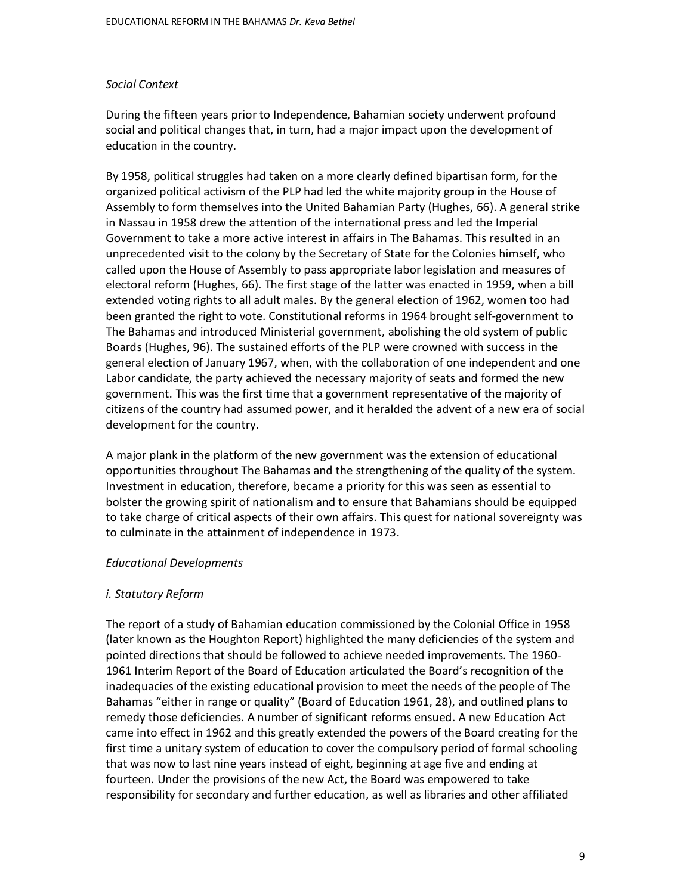#### *Social Context*

During the fifteen years prior to Independence, Bahamian society underwent profound social and political changes that, in turn, had a major impact upon the development of education in the country.

By 1958, political struggles had taken on a more clearly defined bipartisan form, for the organized political activism of the PLP had led the white majority group in the House of Assembly to form themselves into the United Bahamian Party (Hughes, 66). A general strike in Nassau in 1958 drew the attention of the international press and led the Imperial Government to take a more active interest in affairs in The Bahamas. This resulted in an unprecedented visit to the colony by the Secretary of State for the Colonies himself, who called upon the House of Assembly to pass appropriate labor legislation and measures of electoral reform (Hughes, 66). The first stage of the latter was enacted in 1959, when a bill extended voting rights to all adult males. By the general election of 1962, women too had been granted the right to vote. Constitutional reforms in 1964 brought self-government to The Bahamas and introduced Ministerial government, abolishing the old system of public Boards (Hughes, 96). The sustained efforts of the PLP were crowned with success in the general election of January 1967, when, with the collaboration of one independent and one Labor candidate, the party achieved the necessary majority of seats and formed the new government. This was the first time that a government representative of the majority of citizens of the country had assumed power, and it heralded the advent of a new era of social development for the country.

A major plank in the platform of the new government was the extension of educational opportunities throughout The Bahamas and the strengthening of the quality of the system. Investment in education, therefore, became a priority for this was seen as essential to bolster the growing spirit of nationalism and to ensure that Bahamians should be equipped to take charge of critical aspects of their own affairs. This quest for national sovereignty was to culminate in the attainment of independence in 1973.

#### *Educational Developments*

## *i. Statutory Reform*

The report of a study of Bahamian education commissioned by the Colonial Office in 1958 (later known as the Houghton Report) highlighted the many deficiencies of the system and pointed directions that should be followed to achieve needed improvements. The 1960- 1961 Interim Report of the Board of Education articulated the Board's recognition of the inadequacies of the existing educational provision to meet the needs of the people of The Bahamas "either in range or quality" (Board of Education 1961, 28), and outlined plans to remedy those deficiencies. A number of significant reforms ensued. A new Education Act came into effect in 1962 and this greatly extended the powers of the Board creating for the first time a unitary system of education to cover the compulsory period of formal schooling that was now to last nine years instead of eight, beginning at age five and ending at fourteen. Under the provisions of the new Act, the Board was empowered to take responsibility for secondary and further education, as well as libraries and other affiliated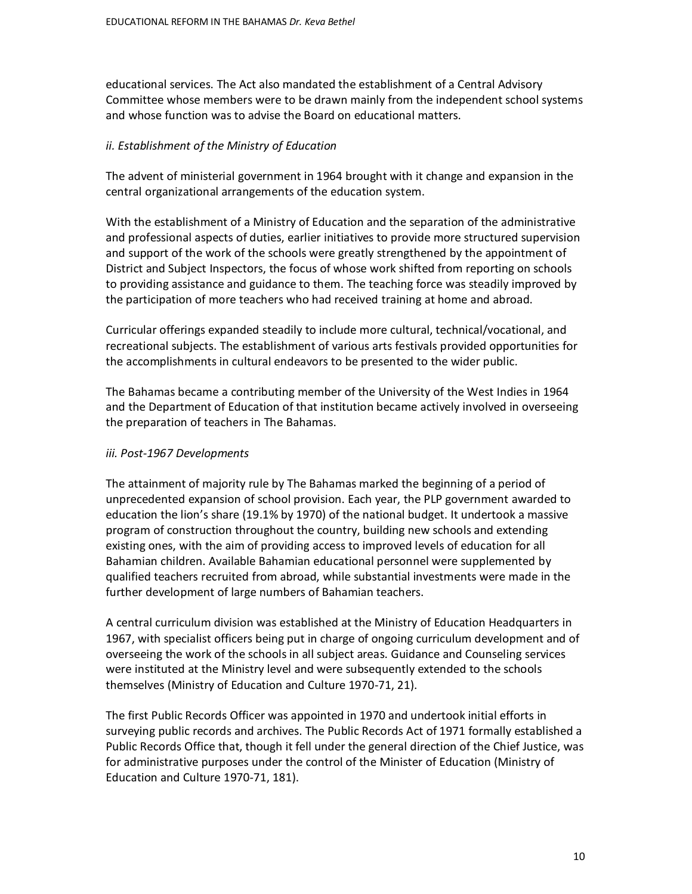educational services. The Act also mandated the establishment of a Central Advisory Committee whose members were to be drawn mainly from the independent school systems and whose function was to advise the Board on educational matters.

## *ii. Establishment of the Ministry of Education*

The advent of ministerial government in 1964 brought with it change and expansion in the central organizational arrangements of the education system.

With the establishment of a Ministry of Education and the separation of the administrative and professional aspects of duties, earlier initiatives to provide more structured supervision and support of the work of the schools were greatly strengthened by the appointment of District and Subject Inspectors, the focus of whose work shifted from reporting on schools to providing assistance and guidance to them. The teaching force was steadily improved by the participation of more teachers who had received training at home and abroad.

Curricular offerings expanded steadily to include more cultural, technical/vocational, and recreational subjects. The establishment of various arts festivals provided opportunities for the accomplishments in cultural endeavors to be presented to the wider public.

The Bahamas became a contributing member of the University of the West Indies in 1964 and the Department of Education of that institution became actively involved in overseeing the preparation of teachers in The Bahamas.

## *iii. Post-1967 Developments*

The attainment of majority rule by The Bahamas marked the beginning of a period of unprecedented expansion of school provision. Each year, the PLP government awarded to education the lion's share (19.1% by 1970) of the national budget. It undertook a massive program of construction throughout the country, building new schools and extending existing ones, with the aim of providing access to improved levels of education for all Bahamian children. Available Bahamian educational personnel were supplemented by qualified teachers recruited from abroad, while substantial investments were made in the further development of large numbers of Bahamian teachers.

A central curriculum division was established at the Ministry of Education Headquarters in 1967, with specialist officers being put in charge of ongoing curriculum development and of overseeing the work of the schools in all subject areas. Guidance and Counseling services were instituted at the Ministry level and were subsequently extended to the schools themselves (Ministry of Education and Culture 1970-71, 21).

The first Public Records Officer was appointed in 1970 and undertook initial efforts in surveying public records and archives. The Public Records Act of 1971 formally established a Public Records Office that, though it fell under the general direction of the Chief Justice, was for administrative purposes under the control of the Minister of Education (Ministry of Education and Culture 1970-71, 181).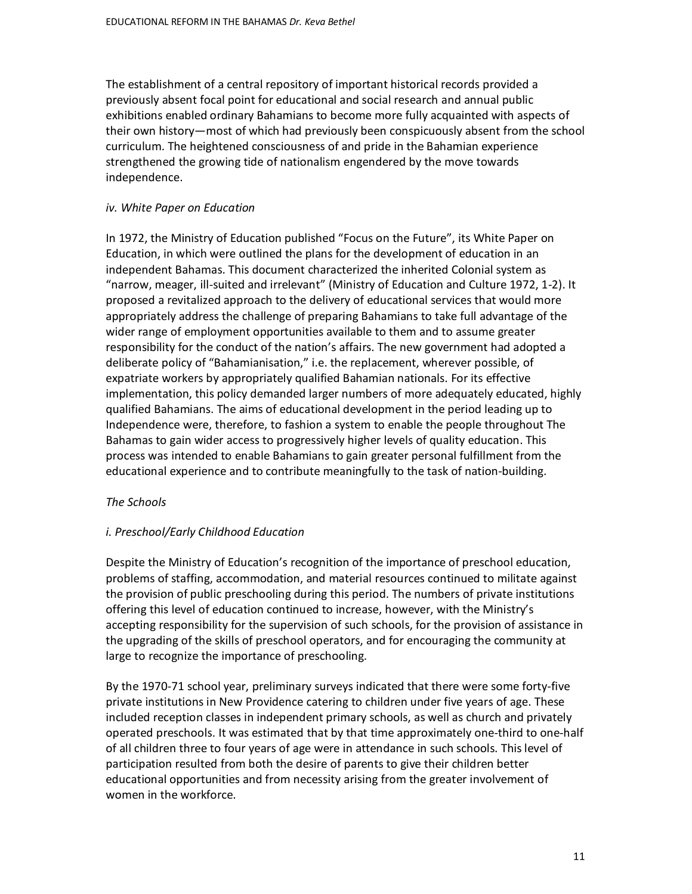The establishment of a central repository of important historical records provided a previously absent focal point for educational and social research and annual public exhibitions enabled ordinary Bahamians to become more fully acquainted with aspects of their own history—most of which had previously been conspicuously absent from the school curriculum. The heightened consciousness of and pride in the Bahamian experience strengthened the growing tide of nationalism engendered by the move towards independence.

## *iv. White Paper on Education*

In 1972, the Ministry of Education published "Focus on the Future", its White Paper on Education, in which were outlined the plans for the development of education in an independent Bahamas. This document characterized the inherited Colonial system as "narrow, meager, ill-suited and irrelevant" (Ministry of Education and Culture 1972, 1-2). It proposed a revitalized approach to the delivery of educational services that would more appropriately address the challenge of preparing Bahamians to take full advantage of the wider range of employment opportunities available to them and to assume greater responsibility for the conduct of the nation's affairs. The new government had adopted a deliberate policy of "Bahamianisation," i.e. the replacement, wherever possible, of expatriate workers by appropriately qualified Bahamian nationals. For its effective implementation, this policy demanded larger numbers of more adequately educated, highly qualified Bahamians. The aims of educational development in the period leading up to Independence were, therefore, to fashion a system to enable the people throughout The Bahamas to gain wider access to progressively higher levels of quality education. This process was intended to enable Bahamians to gain greater personal fulfillment from the educational experience and to contribute meaningfully to the task of nation-building.

# *The Schools*

# *i. Preschool/Early Childhood Education*

Despite the Ministry of Education's recognition of the importance of preschool education, problems of staffing, accommodation, and material resources continued to militate against the provision of public preschooling during this period. The numbers of private institutions offering this level of education continued to increase, however, with the Ministry's accepting responsibility for the supervision of such schools, for the provision of assistance in the upgrading of the skills of preschool operators, and for encouraging the community at large to recognize the importance of preschooling.

By the 1970-71 school year, preliminary surveys indicated that there were some forty-five private institutions in New Providence catering to children under five years of age. These included reception classes in independent primary schools, as well as church and privately operated preschools. It was estimated that by that time approximately one-third to one-half of all children three to four years of age were in attendance in such schools. This level of participation resulted from both the desire of parents to give their children better educational opportunities and from necessity arising from the greater involvement of women in the workforce.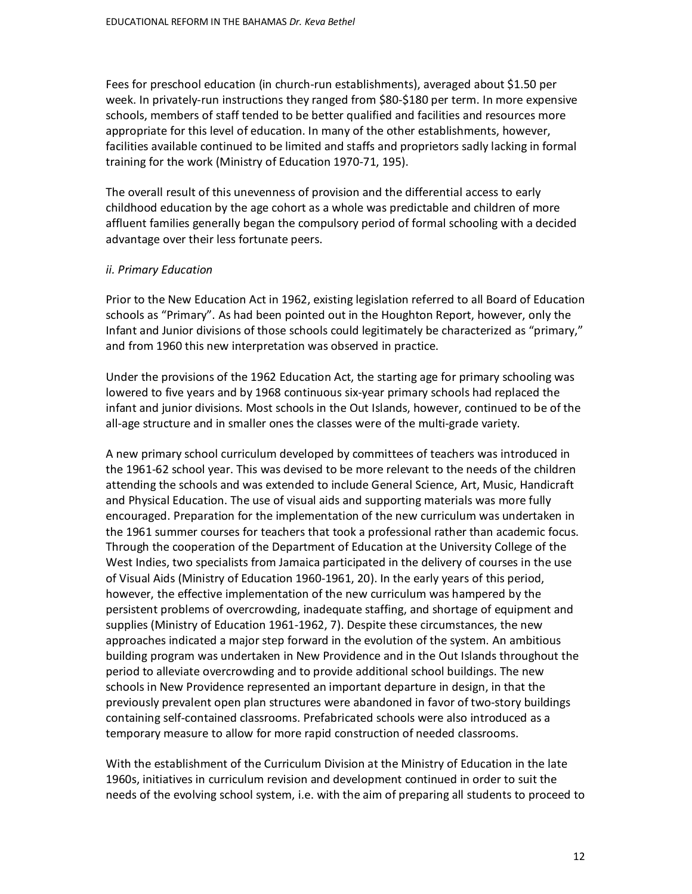Fees for preschool education (in church-run establishments), averaged about \$1.50 per week. In privately-run instructions they ranged from \$80-\$180 per term. In more expensive schools, members of staff tended to be better qualified and facilities and resources more appropriate for this level of education. In many of the other establishments, however, facilities available continued to be limited and staffs and proprietors sadly lacking in formal training for the work (Ministry of Education 1970-71, 195).

The overall result of this unevenness of provision and the differential access to early childhood education by the age cohort as a whole was predictable and children of more affluent families generally began the compulsory period of formal schooling with a decided advantage over their less fortunate peers.

## *ii. Primary Education*

Prior to the New Education Act in 1962, existing legislation referred to all Board of Education schools as "Primary". As had been pointed out in the Houghton Report, however, only the Infant and Junior divisions of those schools could legitimately be characterized as "primary," and from 1960 this new interpretation was observed in practice.

Under the provisions of the 1962 Education Act, the starting age for primary schooling was lowered to five years and by 1968 continuous six-year primary schools had replaced the infant and junior divisions. Most schools in the Out Islands, however, continued to be of the all-age structure and in smaller ones the classes were of the multi-grade variety.

A new primary school curriculum developed by committees of teachers was introduced in the 1961-62 school year. This was devised to be more relevant to the needs of the children attending the schools and was extended to include General Science, Art, Music, Handicraft and Physical Education. The use of visual aids and supporting materials was more fully encouraged. Preparation for the implementation of the new curriculum was undertaken in the 1961 summer courses for teachers that took a professional rather than academic focus. Through the cooperation of the Department of Education at the University College of the West Indies, two specialists from Jamaica participated in the delivery of courses in the use of Visual Aids (Ministry of Education 1960-1961, 20). In the early years of this period, however, the effective implementation of the new curriculum was hampered by the persistent problems of overcrowding, inadequate staffing, and shortage of equipment and supplies (Ministry of Education 1961-1962, 7). Despite these circumstances, the new approaches indicated a major step forward in the evolution of the system. An ambitious building program was undertaken in New Providence and in the Out Islands throughout the period to alleviate overcrowding and to provide additional school buildings. The new schools in New Providence represented an important departure in design, in that the previously prevalent open plan structures were abandoned in favor of two-story buildings containing self-contained classrooms. Prefabricated schools were also introduced as a temporary measure to allow for more rapid construction of needed classrooms.

With the establishment of the Curriculum Division at the Ministry of Education in the late 1960s, initiatives in curriculum revision and development continued in order to suit the needs of the evolving school system, i.e. with the aim of preparing all students to proceed to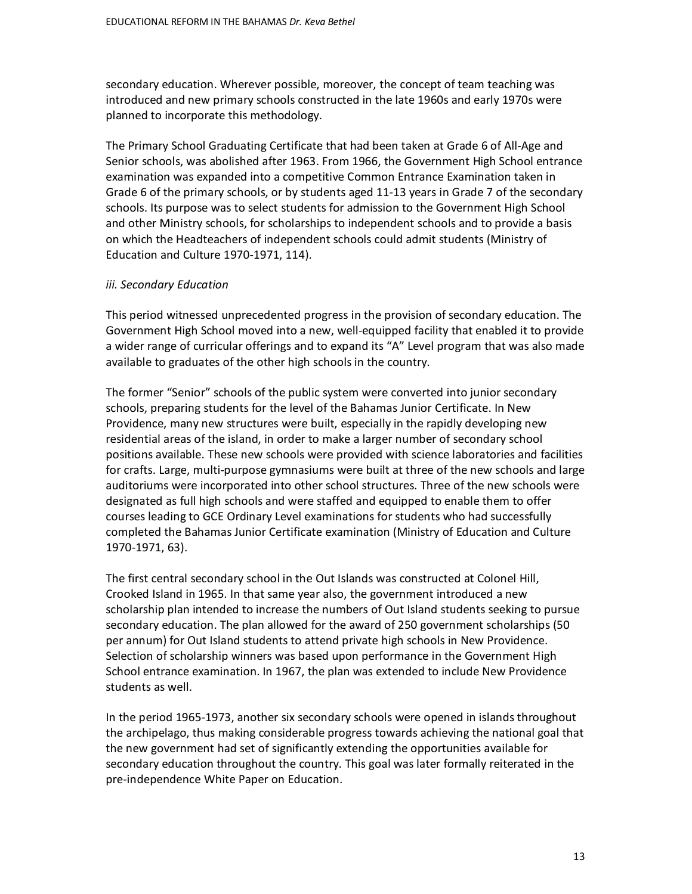secondary education. Wherever possible, moreover, the concept of team teaching was introduced and new primary schools constructed in the late 1960s and early 1970s were planned to incorporate this methodology.

The Primary School Graduating Certificate that had been taken at Grade 6 of All-Age and Senior schools, was abolished after 1963. From 1966, the Government High School entrance examination was expanded into a competitive Common Entrance Examination taken in Grade 6 of the primary schools, or by students aged 11-13 years in Grade 7 of the secondary schools. Its purpose was to select students for admission to the Government High School and other Ministry schools, for scholarships to independent schools and to provide a basis on which the Headteachers of independent schools could admit students (Ministry of Education and Culture 1970-1971, 114).

## *iii. Secondary Education*

This period witnessed unprecedented progress in the provision of secondary education. The Government High School moved into a new, well-equipped facility that enabled it to provide a wider range of curricular offerings and to expand its "A" Level program that was also made available to graduates of the other high schools in the country.

The former "Senior" schools of the public system were converted into junior secondary schools, preparing students for the level of the Bahamas Junior Certificate. In New Providence, many new structures were built, especially in the rapidly developing new residential areas of the island, in order to make a larger number of secondary school positions available. These new schools were provided with science laboratories and facilities for crafts. Large, multi-purpose gymnasiums were built at three of the new schools and large auditoriums were incorporated into other school structures. Three of the new schools were designated as full high schools and were staffed and equipped to enable them to offer courses leading to GCE Ordinary Level examinations for students who had successfully completed the Bahamas Junior Certificate examination (Ministry of Education and Culture 1970-1971, 63).

The first central secondary school in the Out Islands was constructed at Colonel Hill, Crooked Island in 1965. In that same year also, the government introduced a new scholarship plan intended to increase the numbers of Out Island students seeking to pursue secondary education. The plan allowed for the award of 250 government scholarships (50 per annum) for Out Island students to attend private high schools in New Providence. Selection of scholarship winners was based upon performance in the Government High School entrance examination. In 1967, the plan was extended to include New Providence students as well.

In the period 1965-1973, another six secondary schools were opened in islands throughout the archipelago, thus making considerable progress towards achieving the national goal that the new government had set of significantly extending the opportunities available for secondary education throughout the country. This goal was later formally reiterated in the pre-independence White Paper on Education.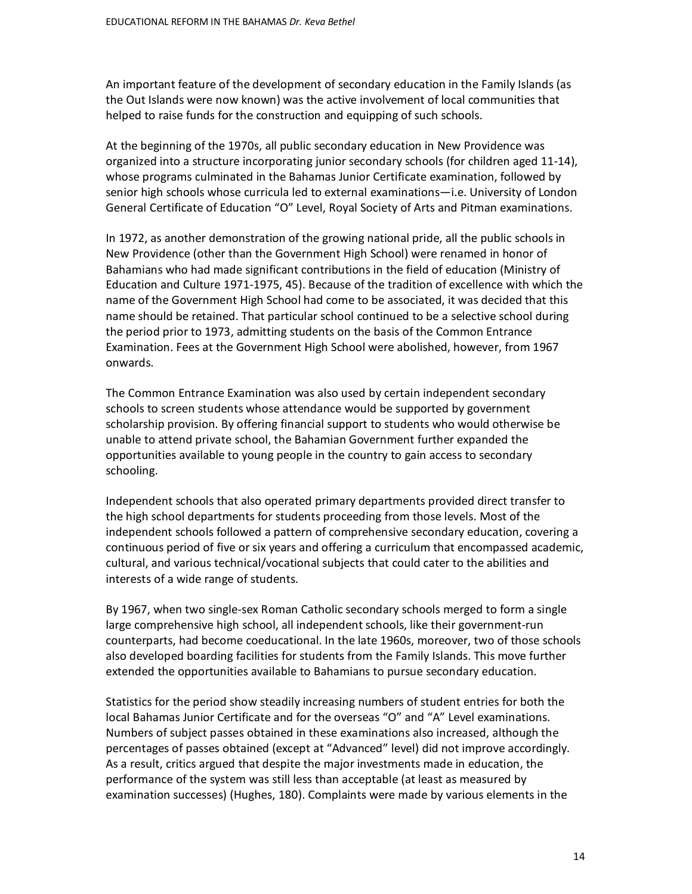An important feature of the development of secondary education in the Family Islands (as the Out Islands were now known) was the active involvement of local communities that helped to raise funds for the construction and equipping of such schools.

At the beginning of the 1970s, all public secondary education in New Providence was organized into a structure incorporating junior secondary schools (for children aged 11-14), whose programs culminated in the Bahamas Junior Certificate examination, followed by senior high schools whose curricula led to external examinations—i.e. University of London General Certificate of Education "O" Level, Royal Society of Arts and Pitman examinations.

In 1972, as another demonstration of the growing national pride, all the public schools in New Providence (other than the Government High School) were renamed in honor of Bahamians who had made significant contributions in the field of education (Ministry of Education and Culture 1971-1975, 45). Because of the tradition of excellence with which the name of the Government High School had come to be associated, it was decided that this name should be retained. That particular school continued to be a selective school during the period prior to 1973, admitting students on the basis of the Common Entrance Examination. Fees at the Government High School were abolished, however, from 1967 onwards.

The Common Entrance Examination was also used by certain independent secondary schools to screen students whose attendance would be supported by government scholarship provision. By offering financial support to students who would otherwise be unable to attend private school, the Bahamian Government further expanded the opportunities available to young people in the country to gain access to secondary schooling.

Independent schools that also operated primary departments provided direct transfer to the high school departments for students proceeding from those levels. Most of the independent schools followed a pattern of comprehensive secondary education, covering a continuous period of five or six years and offering a curriculum that encompassed academic, cultural, and various technical/vocational subjects that could cater to the abilities and interests of a wide range of students.

By 1967, when two single-sex Roman Catholic secondary schools merged to form a single large comprehensive high school, all independent schools, like their government-run counterparts, had become coeducational. In the late 1960s, moreover, two of those schools also developed boarding facilities for students from the Family Islands. This move further extended the opportunities available to Bahamians to pursue secondary education.

Statistics for the period show steadily increasing numbers of student entries for both the local Bahamas Junior Certificate and for the overseas "O" and "A" Level examinations. Numbers of subject passes obtained in these examinations also increased, although the percentages of passes obtained (except at "Advanced" level) did not improve accordingly. As a result, critics argued that despite the major investments made in education, the performance of the system was still less than acceptable (at least as measured by examination successes) (Hughes, 180). Complaints were made by various elements in the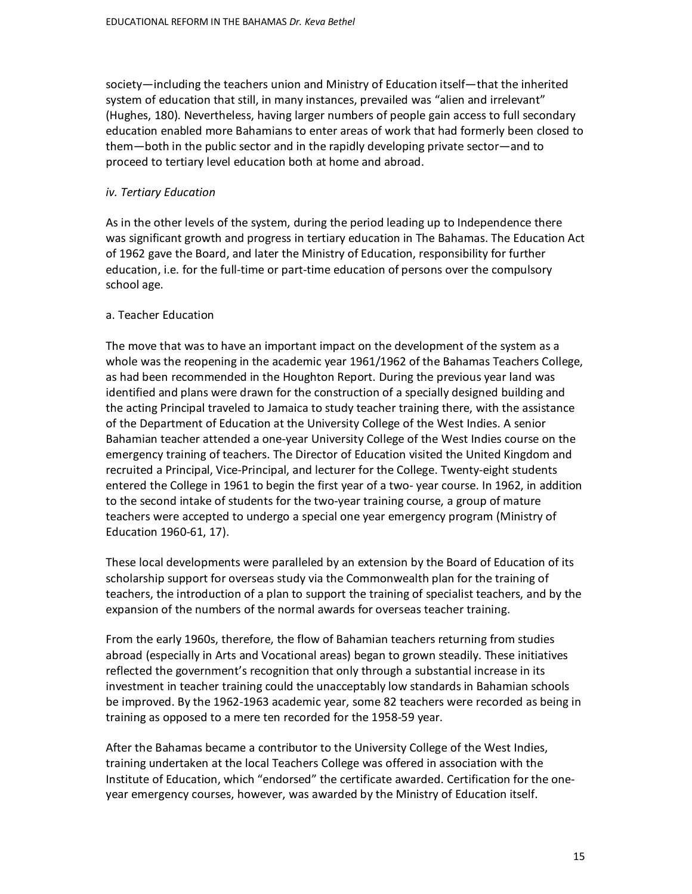society—including the teachers union and Ministry of Education itself—that the inherited system of education that still, in many instances, prevailed was "alien and irrelevant" (Hughes, 180). Nevertheless, having larger numbers of people gain access to full secondary education enabled more Bahamians to enter areas of work that had formerly been closed to them—both in the public sector and in the rapidly developing private sector—and to proceed to tertiary level education both at home and abroad.

## *iv. Tertiary Education*

As in the other levels of the system, during the period leading up to Independence there was significant growth and progress in tertiary education in The Bahamas. The Education Act of 1962 gave the Board, and later the Ministry of Education, responsibility for further education, i.e. for the full-time or part-time education of persons over the compulsory school age.

## a. Teacher Education

The move that was to have an important impact on the development of the system as a whole was the reopening in the academic year 1961/1962 of the Bahamas Teachers College, as had been recommended in the Houghton Report. During the previous year land was identified and plans were drawn for the construction of a specially designed building and the acting Principal traveled to Jamaica to study teacher training there, with the assistance of the Department of Education at the University College of the West Indies. A senior Bahamian teacher attended a one-year University College of the West Indies course on the emergency training of teachers. The Director of Education visited the United Kingdom and recruited a Principal, Vice-Principal, and lecturer for the College. Twenty-eight students entered the College in 1961 to begin the first year of a two- year course. In 1962, in addition to the second intake of students for the two-year training course, a group of mature teachers were accepted to undergo a special one year emergency program (Ministry of Education 1960-61, 17).

These local developments were paralleled by an extension by the Board of Education of its scholarship support for overseas study via the Commonwealth plan for the training of teachers, the introduction of a plan to support the training of specialist teachers, and by the expansion of the numbers of the normal awards for overseas teacher training.

From the early 1960s, therefore, the flow of Bahamian teachers returning from studies abroad (especially in Arts and Vocational areas) began to grown steadily. These initiatives reflected the government's recognition that only through a substantial increase in its investment in teacher training could the unacceptably low standards in Bahamian schools be improved. By the 1962-1963 academic year, some 82 teachers were recorded as being in training as opposed to a mere ten recorded for the 1958-59 year.

After the Bahamas became a contributor to the University College of the West Indies, training undertaken at the local Teachers College was offered in association with the Institute of Education, which "endorsed" the certificate awarded. Certification for the oneyear emergency courses, however, was awarded by the Ministry of Education itself.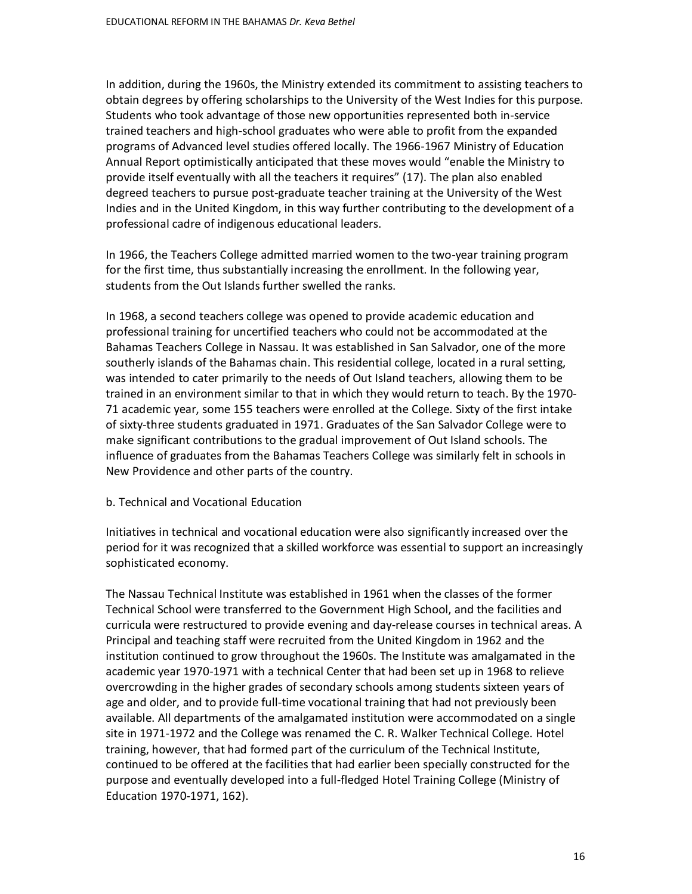In addition, during the 1960s, the Ministry extended its commitment to assisting teachers to obtain degrees by offering scholarships to the University of the West Indies for this purpose. Students who took advantage of those new opportunities represented both in-service trained teachers and high-school graduates who were able to profit from the expanded programs of Advanced level studies offered locally. The 1966-1967 Ministry of Education Annual Report optimistically anticipated that these moves would "enable the Ministry to provide itself eventually with all the teachers it requires" (17). The plan also enabled degreed teachers to pursue post-graduate teacher training at the University of the West Indies and in the United Kingdom, in this way further contributing to the development of a professional cadre of indigenous educational leaders.

In 1966, the Teachers College admitted married women to the two-year training program for the first time, thus substantially increasing the enrollment. In the following year, students from the Out Islands further swelled the ranks.

In 1968, a second teachers college was opened to provide academic education and professional training for uncertified teachers who could not be accommodated at the Bahamas Teachers College in Nassau. It was established in San Salvador, one of the more southerly islands of the Bahamas chain. This residential college, located in a rural setting, was intended to cater primarily to the needs of Out Island teachers, allowing them to be trained in an environment similar to that in which they would return to teach. By the 1970- 71 academic year, some 155 teachers were enrolled at the College. Sixty of the first intake of sixty-three students graduated in 1971. Graduates of the San Salvador College were to make significant contributions to the gradual improvement of Out Island schools. The influence of graduates from the Bahamas Teachers College was similarly felt in schools in New Providence and other parts of the country.

## b. Technical and Vocational Education

Initiatives in technical and vocational education were also significantly increased over the period for it was recognized that a skilled workforce was essential to support an increasingly sophisticated economy.

The Nassau Technical Institute was established in 1961 when the classes of the former Technical School were transferred to the Government High School, and the facilities and curricula were restructured to provide evening and day-release courses in technical areas. A Principal and teaching staff were recruited from the United Kingdom in 1962 and the institution continued to grow throughout the 1960s. The Institute was amalgamated in the academic year 1970-1971 with a technical Center that had been set up in 1968 to relieve overcrowding in the higher grades of secondary schools among students sixteen years of age and older, and to provide full-time vocational training that had not previously been available. All departments of the amalgamated institution were accommodated on a single site in 1971-1972 and the College was renamed the C. R. Walker Technical College. Hotel training, however, that had formed part of the curriculum of the Technical Institute, continued to be offered at the facilities that had earlier been specially constructed for the purpose and eventually developed into a full-fledged Hotel Training College (Ministry of Education 1970-1971, 162).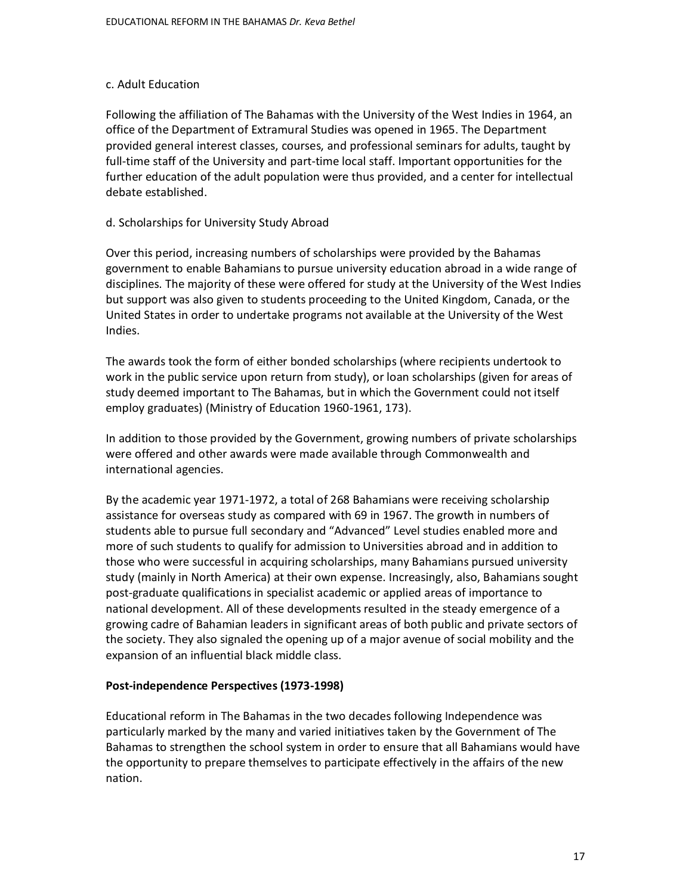### c. Adult Education

Following the affiliation of The Bahamas with the University of the West Indies in 1964, an office of the Department of Extramural Studies was opened in 1965. The Department provided general interest classes, courses, and professional seminars for adults, taught by full-time staff of the University and part-time local staff. Important opportunities for the further education of the adult population were thus provided, and a center for intellectual debate established.

## d. Scholarships for University Study Abroad

Over this period, increasing numbers of scholarships were provided by the Bahamas government to enable Bahamians to pursue university education abroad in a wide range of disciplines. The majority of these were offered for study at the University of the West Indies but support was also given to students proceeding to the United Kingdom, Canada, or the United States in order to undertake programs not available at the University of the West Indies.

The awards took the form of either bonded scholarships (where recipients undertook to work in the public service upon return from study), or loan scholarships (given for areas of study deemed important to The Bahamas, but in which the Government could not itself employ graduates) (Ministry of Education 1960-1961, 173).

In addition to those provided by the Government, growing numbers of private scholarships were offered and other awards were made available through Commonwealth and international agencies.

By the academic year 1971-1972, a total of 268 Bahamians were receiving scholarship assistance for overseas study as compared with 69 in 1967. The growth in numbers of students able to pursue full secondary and "Advanced" Level studies enabled more and more of such students to qualify for admission to Universities abroad and in addition to those who were successful in acquiring scholarships, many Bahamians pursued university study (mainly in North America) at their own expense. Increasingly, also, Bahamians sought post-graduate qualifications in specialist academic or applied areas of importance to national development. All of these developments resulted in the steady emergence of a growing cadre of Bahamian leaders in significant areas of both public and private sectors of the society. They also signaled the opening up of a major avenue of social mobility and the expansion of an influential black middle class.

# **Post-independence Perspectives (1973-1998)**

Educational reform in The Bahamas in the two decades following Independence was particularly marked by the many and varied initiatives taken by the Government of The Bahamas to strengthen the school system in order to ensure that all Bahamians would have the opportunity to prepare themselves to participate effectively in the affairs of the new nation.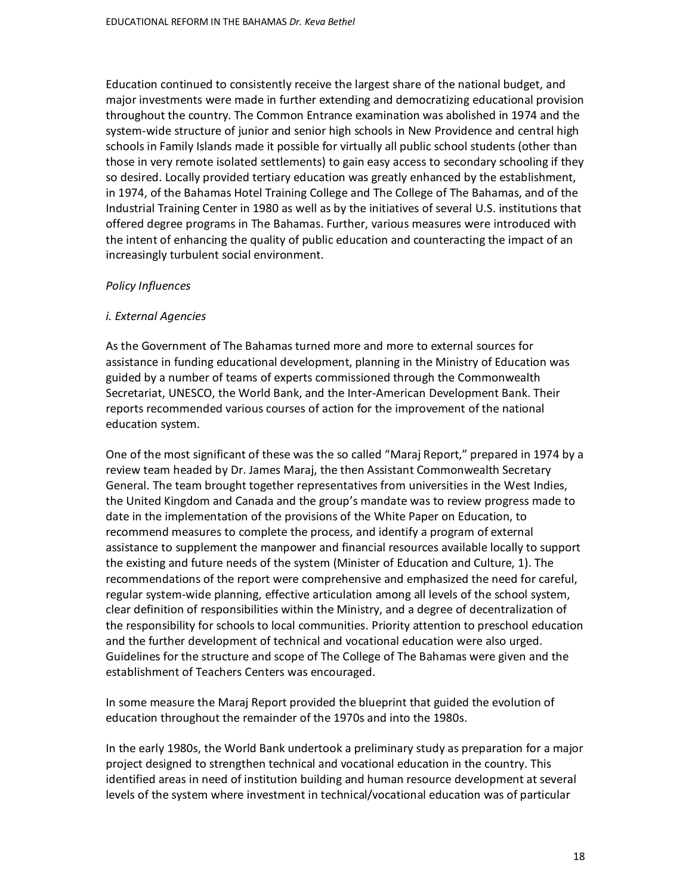Education continued to consistently receive the largest share of the national budget, and major investments were made in further extending and democratizing educational provision throughout the country. The Common Entrance examination was abolished in 1974 and the system-wide structure of junior and senior high schools in New Providence and central high schools in Family Islands made it possible for virtually all public school students (other than those in very remote isolated settlements) to gain easy access to secondary schooling if they so desired. Locally provided tertiary education was greatly enhanced by the establishment, in 1974, of the Bahamas Hotel Training College and The College of The Bahamas, and of the Industrial Training Center in 1980 as well as by the initiatives of several U.S. institutions that offered degree programs in The Bahamas. Further, various measures were introduced with the intent of enhancing the quality of public education and counteracting the impact of an increasingly turbulent social environment.

## *Policy Influences*

## *i. External Agencies*

As the Government of The Bahamas turned more and more to external sources for assistance in funding educational development, planning in the Ministry of Education was guided by a number of teams of experts commissioned through the Commonwealth Secretariat, UNESCO, the World Bank, and the Inter-American Development Bank. Their reports recommended various courses of action for the improvement of the national education system.

One of the most significant of these was the so called "Maraj Report," prepared in 1974 by a review team headed by Dr. James Maraj, the then Assistant Commonwealth Secretary General. The team brought together representatives from universities in the West Indies, the United Kingdom and Canada and the group's mandate was to review progress made to date in the implementation of the provisions of the White Paper on Education, to recommend measures to complete the process, and identify a program of external assistance to supplement the manpower and financial resources available locally to support the existing and future needs of the system (Minister of Education and Culture, 1). The recommendations of the report were comprehensive and emphasized the need for careful, regular system-wide planning, effective articulation among all levels of the school system, clear definition of responsibilities within the Ministry, and a degree of decentralization of the responsibility for schools to local communities. Priority attention to preschool education and the further development of technical and vocational education were also urged. Guidelines for the structure and scope of The College of The Bahamas were given and the establishment of Teachers Centers was encouraged.

In some measure the Maraj Report provided the blueprint that guided the evolution of education throughout the remainder of the 1970s and into the 1980s.

In the early 1980s, the World Bank undertook a preliminary study as preparation for a major project designed to strengthen technical and vocational education in the country. This identified areas in need of institution building and human resource development at several levels of the system where investment in technical/vocational education was of particular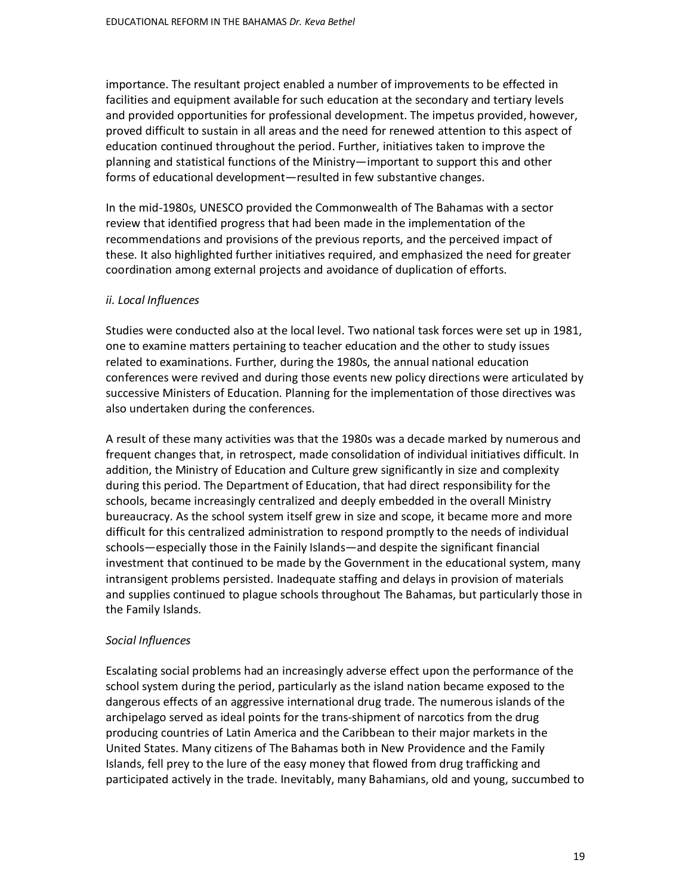importance. The resultant project enabled a number of improvements to be effected in facilities and equipment available for such education at the secondary and tertiary levels and provided opportunities for professional development. The impetus provided, however, proved difficult to sustain in all areas and the need for renewed attention to this aspect of education continued throughout the period. Further, initiatives taken to improve the planning and statistical functions of the Ministry—important to support this and other forms of educational development—resulted in few substantive changes.

In the mid-1980s, UNESCO provided the Commonwealth of The Bahamas with a sector review that identified progress that had been made in the implementation of the recommendations and provisions of the previous reports, and the perceived impact of these. It also highlighted further initiatives required, and emphasized the need for greater coordination among external projects and avoidance of duplication of efforts.

# *ii. Local Influences*

Studies were conducted also at the local level. Two national task forces were set up in 1981, one to examine matters pertaining to teacher education and the other to study issues related to examinations. Further, during the 1980s, the annual national education conferences were revived and during those events new policy directions were articulated by successive Ministers of Education. Planning for the implementation of those directives was also undertaken during the conferences.

A result of these many activities was that the 1980s was a decade marked by numerous and frequent changes that, in retrospect, made consolidation of individual initiatives difficult. In addition, the Ministry of Education and Culture grew significantly in size and complexity during this period. The Department of Education, that had direct responsibility for the schools, became increasingly centralized and deeply embedded in the overall Ministry bureaucracy. As the school system itself grew in size and scope, it became more and more difficult for this centralized administration to respond promptly to the needs of individual schools—especially those in the Fainily Islands—and despite the significant financial investment that continued to be made by the Government in the educational system, many intransigent problems persisted. Inadequate staffing and delays in provision of materials and supplies continued to plague schools throughout The Bahamas, but particularly those in the Family Islands.

# *Social Influences*

Escalating social problems had an increasingly adverse effect upon the performance of the school system during the period, particularly as the island nation became exposed to the dangerous effects of an aggressive international drug trade. The numerous islands of the archipelago served as ideal points for the trans-shipment of narcotics from the drug producing countries of Latin America and the Caribbean to their major markets in the United States. Many citizens of The Bahamas both in New Providence and the Family Islands, fell prey to the lure of the easy money that flowed from drug trafficking and participated actively in the trade. Inevitably, many Bahamians, old and young, succumbed to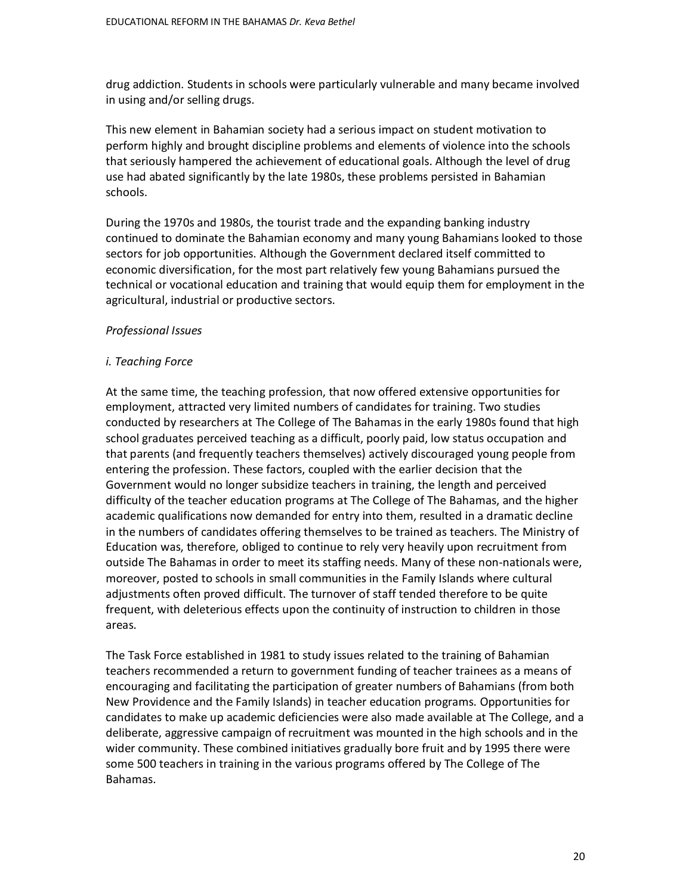drug addiction. Students in schools were particularly vulnerable and many became involved in using and/or selling drugs.

This new element in Bahamian society had a serious impact on student motivation to perform highly and brought discipline problems and elements of violence into the schools that seriously hampered the achievement of educational goals. Although the level of drug use had abated significantly by the late 1980s, these problems persisted in Bahamian schools.

During the 1970s and 1980s, the tourist trade and the expanding banking industry continued to dominate the Bahamian economy and many young Bahamians looked to those sectors for job opportunities. Although the Government declared itself committed to economic diversification, for the most part relatively few young Bahamians pursued the technical or vocational education and training that would equip them for employment in the agricultural, industrial or productive sectors.

#### *Professional Issues*

### *i. Teaching Force*

At the same time, the teaching profession, that now offered extensive opportunities for employment, attracted very limited numbers of candidates for training. Two studies conducted by researchers at The College of The Bahamas in the early 1980s found that high school graduates perceived teaching as a difficult, poorly paid, low status occupation and that parents (and frequently teachers themselves) actively discouraged young people from entering the profession. These factors, coupled with the earlier decision that the Government would no longer subsidize teachers in training, the length and perceived difficulty of the teacher education programs at The College of The Bahamas, and the higher academic qualifications now demanded for entry into them, resulted in a dramatic decline in the numbers of candidates offering themselves to be trained as teachers. The Ministry of Education was, therefore, obliged to continue to rely very heavily upon recruitment from outside The Bahamas in order to meet its staffing needs. Many of these non-nationals were, moreover, posted to schools in small communities in the Family Islands where cultural adjustments often proved difficult. The turnover of staff tended therefore to be quite frequent, with deleterious effects upon the continuity of instruction to children in those areas.

The Task Force established in 1981 to study issues related to the training of Bahamian teachers recommended a return to government funding of teacher trainees as a means of encouraging and facilitating the participation of greater numbers of Bahamians (from both New Providence and the Family Islands) in teacher education programs. Opportunities for candidates to make up academic deficiencies were also made available at The College, and a deliberate, aggressive campaign of recruitment was mounted in the high schools and in the wider community. These combined initiatives gradually bore fruit and by 1995 there were some 500 teachers in training in the various programs offered by The College of The Bahamas.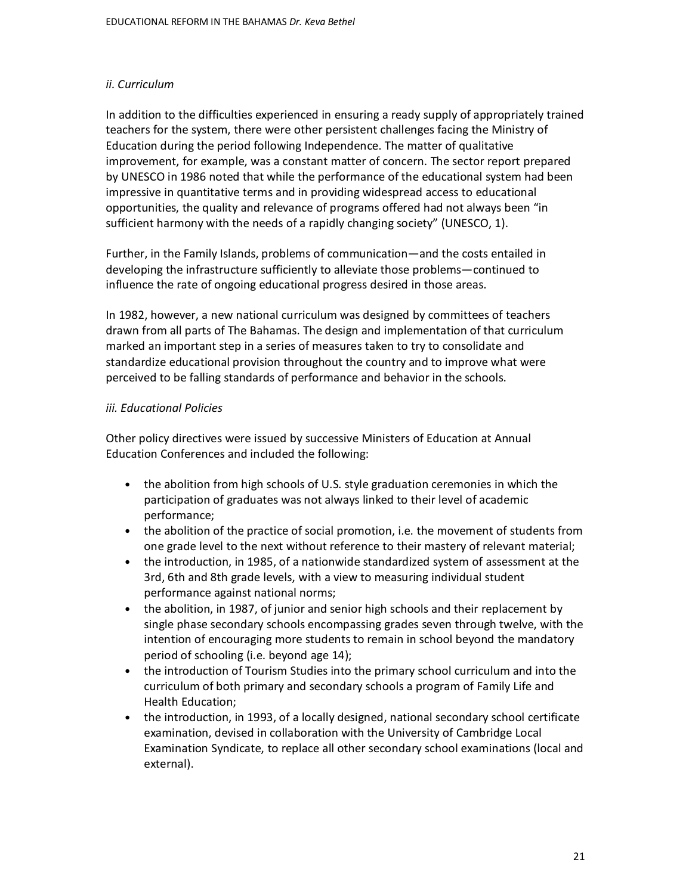# *ii. Curriculum*

In addition to the difficulties experienced in ensuring a ready supply of appropriately trained teachers for the system, there were other persistent challenges facing the Ministry of Education during the period following Independence. The matter of qualitative improvement, for example, was a constant matter of concern. The sector report prepared by UNESCO in 1986 noted that while the performance of the educational system had been impressive in quantitative terms and in providing widespread access to educational opportunities, the quality and relevance of programs offered had not always been "in sufficient harmony with the needs of a rapidly changing society" (UNESCO, 1).

Further, in the Family Islands, problems of communication—and the costs entailed in developing the infrastructure sufficiently to alleviate those problems—continued to influence the rate of ongoing educational progress desired in those areas.

In 1982, however, a new national curriculum was designed by committees of teachers drawn from all parts of The Bahamas. The design and implementation of that curriculum marked an important step in a series of measures taken to try to consolidate and standardize educational provision throughout the country and to improve what were perceived to be falling standards of performance and behavior in the schools.

## *iii. Educational Policies*

Other policy directives were issued by successive Ministers of Education at Annual Education Conferences and included the following:

- the abolition from high schools of U.S. style graduation ceremonies in which the participation of graduates was not always linked to their level of academic performance;
- the abolition of the practice of social promotion, i.e. the movement of students from one grade level to the next without reference to their mastery of relevant material;
- the introduction, in 1985, of a nationwide standardized system of assessment at the 3rd, 6th and 8th grade levels, with a view to measuring individual student performance against national norms;
- the abolition, in 1987, of junior and senior high schools and their replacement by single phase secondary schools encompassing grades seven through twelve, with the intention of encouraging more students to remain in school beyond the mandatory period of schooling (i.e. beyond age 14);
- the introduction of Tourism Studies into the primary school curriculum and into the curriculum of both primary and secondary schools a program of Family Life and Health Education;
- the introduction, in 1993, of a locally designed, national secondary school certificate examination, devised in collaboration with the University of Cambridge Local Examination Syndicate, to replace all other secondary school examinations (local and external).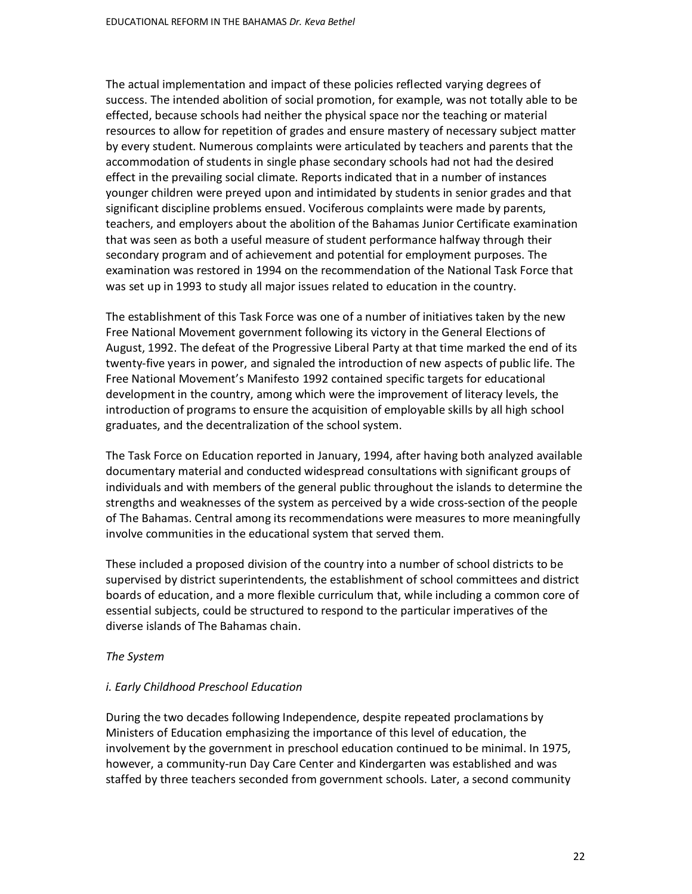The actual implementation and impact of these policies reflected varying degrees of success. The intended abolition of social promotion, for example, was not totally able to be effected, because schools had neither the physical space nor the teaching or material resources to allow for repetition of grades and ensure mastery of necessary subject matter by every student. Numerous complaints were articulated by teachers and parents that the accommodation of students in single phase secondary schools had not had the desired effect in the prevailing social climate. Reports indicated that in a number of instances younger children were preyed upon and intimidated by students in senior grades and that significant discipline problems ensued. Vociferous complaints were made by parents, teachers, and employers about the abolition of the Bahamas Junior Certificate examination that was seen as both a useful measure of student performance halfway through their secondary program and of achievement and potential for employment purposes. The examination was restored in 1994 on the recommendation of the National Task Force that was set up in 1993 to study all major issues related to education in the country.

The establishment of this Task Force was one of a number of initiatives taken by the new Free National Movement government following its victory in the General Elections of August, 1992. The defeat of the Progressive Liberal Party at that time marked the end of its twenty-five years in power, and signaled the introduction of new aspects of public life. The Free National Movement's Manifesto 1992 contained specific targets for educational development in the country, among which were the improvement of literacy levels, the introduction of programs to ensure the acquisition of employable skills by all high school graduates, and the decentralization of the school system.

The Task Force on Education reported in January, 1994, after having both analyzed available documentary material and conducted widespread consultations with significant groups of individuals and with members of the general public throughout the islands to determine the strengths and weaknesses of the system as perceived by a wide cross-section of the people of The Bahamas. Central among its recommendations were measures to more meaningfully involve communities in the educational system that served them.

These included a proposed division of the country into a number of school districts to be supervised by district superintendents, the establishment of school committees and district boards of education, and a more flexible curriculum that, while including a common core of essential subjects, could be structured to respond to the particular imperatives of the diverse islands of The Bahamas chain.

#### *The System*

## *i. Early Childhood Preschool Education*

During the two decades following Independence, despite repeated proclamations by Ministers of Education emphasizing the importance of this level of education, the involvement by the government in preschool education continued to be minimal. In 1975, however, a community-run Day Care Center and Kindergarten was established and was staffed by three teachers seconded from government schools. Later, a second community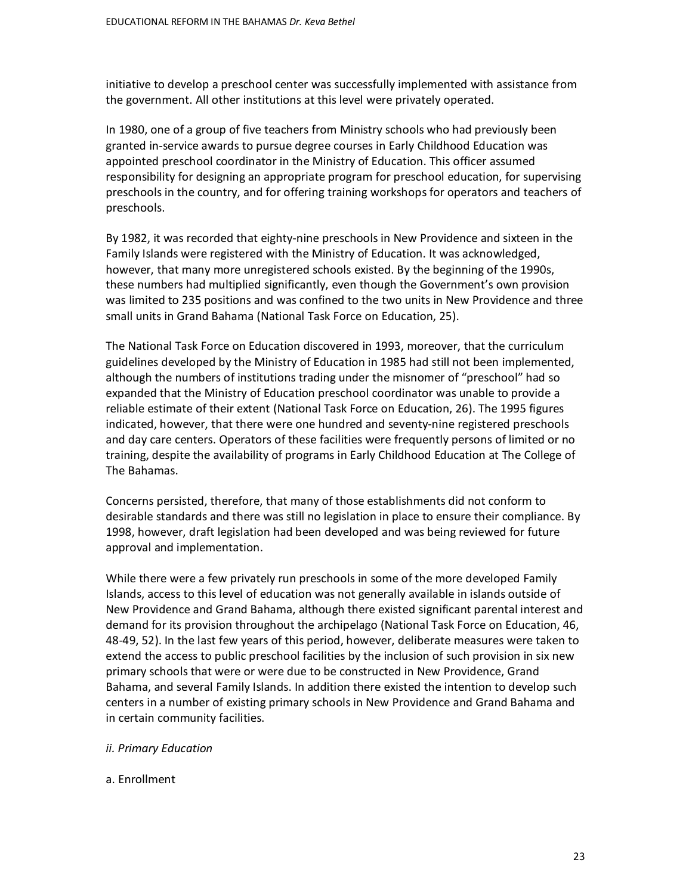initiative to develop a preschool center was successfully implemented with assistance from the government. All other institutions at this level were privately operated.

In 1980, one of a group of five teachers from Ministry schools who had previously been granted in-service awards to pursue degree courses in Early Childhood Education was appointed preschool coordinator in the Ministry of Education. This officer assumed responsibility for designing an appropriate program for preschool education, for supervising preschools in the country, and for offering training workshops for operators and teachers of preschools.

By 1982, it was recorded that eighty-nine preschools in New Providence and sixteen in the Family Islands were registered with the Ministry of Education. It was acknowledged, however, that many more unregistered schools existed. By the beginning of the 1990s, these numbers had multiplied significantly, even though the Government's own provision was limited to 235 positions and was confined to the two units in New Providence and three small units in Grand Bahama (National Task Force on Education, 25).

The National Task Force on Education discovered in 1993, moreover, that the curriculum guidelines developed by the Ministry of Education in 1985 had still not been implemented, although the numbers of institutions trading under the misnomer of "preschool" had so expanded that the Ministry of Education preschool coordinator was unable to provide a reliable estimate of their extent (National Task Force on Education, 26). The 1995 figures indicated, however, that there were one hundred and seventy-nine registered preschools and day care centers. Operators of these facilities were frequently persons of limited or no training, despite the availability of programs in Early Childhood Education at The College of The Bahamas.

Concerns persisted, therefore, that many of those establishments did not conform to desirable standards and there was still no legislation in place to ensure their compliance. By 1998, however, draft legislation had been developed and was being reviewed for future approval and implementation.

While there were a few privately run preschools in some of the more developed Family Islands, access to this level of education was not generally available in islands outside of New Providence and Grand Bahama, although there existed significant parental interest and demand for its provision throughout the archipelago (National Task Force on Education, 46, 48-49, 52). In the last few years of this period, however, deliberate measures were taken to extend the access to public preschool facilities by the inclusion of such provision in six new primary schools that were or were due to be constructed in New Providence, Grand Bahama, and several Family Islands. In addition there existed the intention to develop such centers in a number of existing primary schools in New Providence and Grand Bahama and in certain community facilities.

#### *ii. Primary Education*

#### a. Enrollment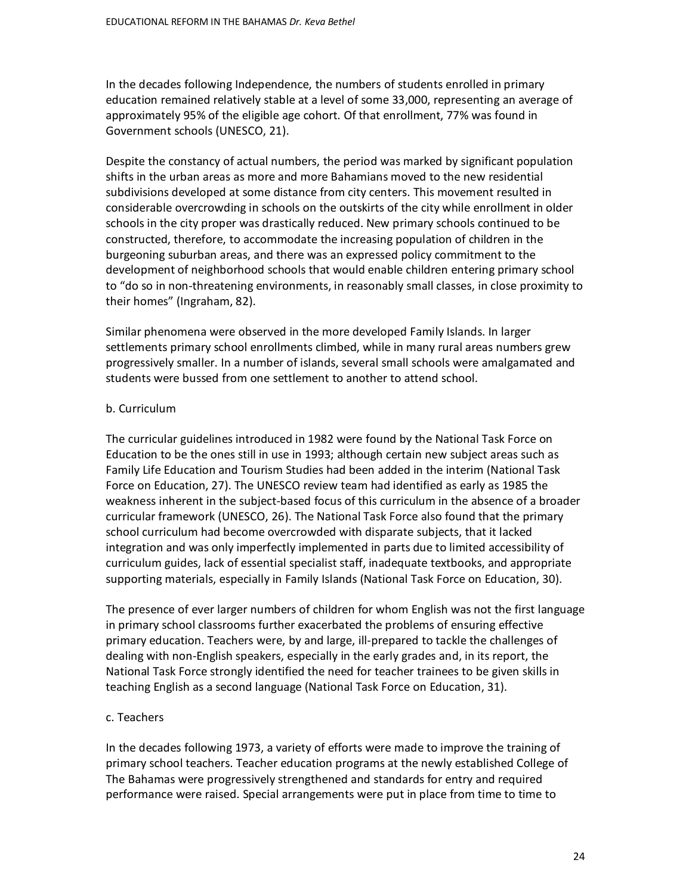In the decades following Independence, the numbers of students enrolled in primary education remained relatively stable at a level of some 33,000, representing an average of approximately 95% of the eligible age cohort. Of that enrollment, 77% was found in Government schools (UNESCO, 21).

Despite the constancy of actual numbers, the period was marked by significant population shifts in the urban areas as more and more Bahamians moved to the new residential subdivisions developed at some distance from city centers. This movement resulted in considerable overcrowding in schools on the outskirts of the city while enrollment in older schools in the city proper was drastically reduced. New primary schools continued to be constructed, therefore, to accommodate the increasing population of children in the burgeoning suburban areas, and there was an expressed policy commitment to the development of neighborhood schools that would enable children entering primary school to "do so in non-threatening environments, in reasonably small classes, in close proximity to their homes" (Ingraham, 82).

Similar phenomena were observed in the more developed Family Islands. In larger settlements primary school enrollments climbed, while in many rural areas numbers grew progressively smaller. In a number of islands, several small schools were amalgamated and students were bussed from one settlement to another to attend school.

## b. Curriculum

The curricular guidelines introduced in 1982 were found by the National Task Force on Education to be the ones still in use in 1993; although certain new subject areas such as Family Life Education and Tourism Studies had been added in the interim (National Task Force on Education, 27). The UNESCO review team had identified as early as 1985 the weakness inherent in the subject-based focus of this curriculum in the absence of a broader curricular framework (UNESCO, 26). The National Task Force also found that the primary school curriculum had become overcrowded with disparate subjects, that it lacked integration and was only imperfectly implemented in parts due to limited accessibility of curriculum guides, lack of essential specialist staff, inadequate textbooks, and appropriate supporting materials, especially in Family Islands (National Task Force on Education, 30).

The presence of ever larger numbers of children for whom English was not the first language in primary school classrooms further exacerbated the problems of ensuring effective primary education. Teachers were, by and large, ill-prepared to tackle the challenges of dealing with non-English speakers, especially in the early grades and, in its report, the National Task Force strongly identified the need for teacher trainees to be given skills in teaching English as a second language (National Task Force on Education, 31).

## c. Teachers

In the decades following 1973, a variety of efforts were made to improve the training of primary school teachers. Teacher education programs at the newly established College of The Bahamas were progressively strengthened and standards for entry and required performance were raised. Special arrangements were put in place from time to time to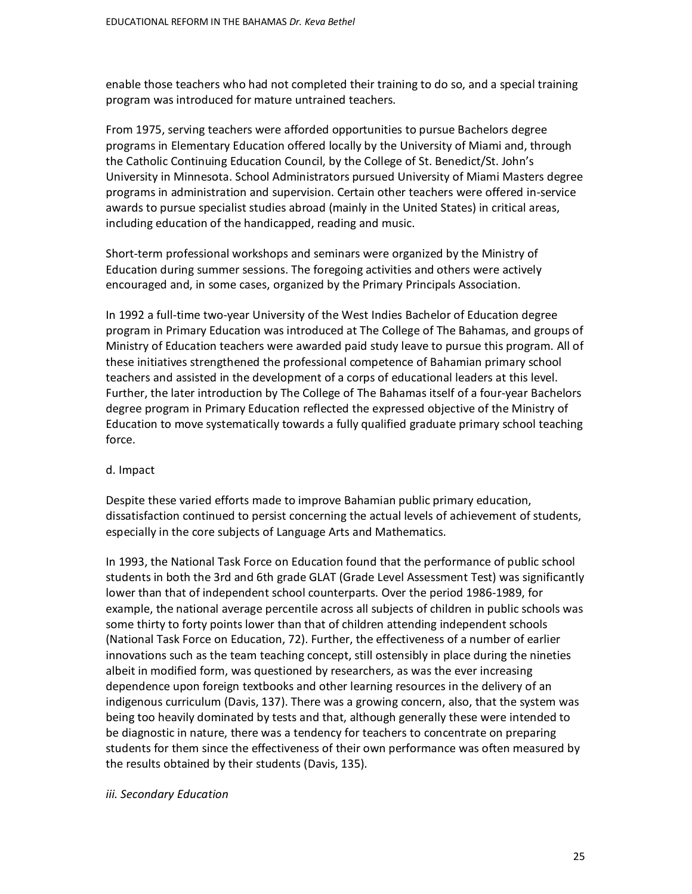enable those teachers who had not completed their training to do so, and a special training program was introduced for mature untrained teachers.

From 1975, serving teachers were afforded opportunities to pursue Bachelors degree programs in Elementary Education offered locally by the University of Miami and, through the Catholic Continuing Education Council, by the College of St. Benedict/St. John's University in Minnesota. School Administrators pursued University of Miami Masters degree programs in administration and supervision. Certain other teachers were offered in-service awards to pursue specialist studies abroad (mainly in the United States) in critical areas, including education of the handicapped, reading and music.

Short-term professional workshops and seminars were organized by the Ministry of Education during summer sessions. The foregoing activities and others were actively encouraged and, in some cases, organized by the Primary Principals Association.

In 1992 a full-time two-year University of the West Indies Bachelor of Education degree program in Primary Education was introduced at The College of The Bahamas, and groups of Ministry of Education teachers were awarded paid study leave to pursue this program. All of these initiatives strengthened the professional competence of Bahamian primary school teachers and assisted in the development of a corps of educational leaders at this level. Further, the later introduction by The College of The Bahamas itself of a four-year Bachelors degree program in Primary Education reflected the expressed objective of the Ministry of Education to move systematically towards a fully qualified graduate primary school teaching force.

#### d. Impact

Despite these varied efforts made to improve Bahamian public primary education, dissatisfaction continued to persist concerning the actual levels of achievement of students, especially in the core subjects of Language Arts and Mathematics.

In 1993, the National Task Force on Education found that the performance of public school students in both the 3rd and 6th grade GLAT (Grade Level Assessment Test) was significantly lower than that of independent school counterparts. Over the period 1986-1989, for example, the national average percentile across all subjects of children in public schools was some thirty to forty points lower than that of children attending independent schools (National Task Force on Education, 72). Further, the effectiveness of a number of earlier innovations such as the team teaching concept, still ostensibly in place during the nineties albeit in modified form, was questioned by researchers, as was the ever increasing dependence upon foreign textbooks and other learning resources in the delivery of an indigenous curriculum (Davis, 137). There was a growing concern, also, that the system was being too heavily dominated by tests and that, although generally these were intended to be diagnostic in nature, there was a tendency for teachers to concentrate on preparing students for them since the effectiveness of their own performance was often measured by the results obtained by their students (Davis, 135).

#### *iii. Secondary Education*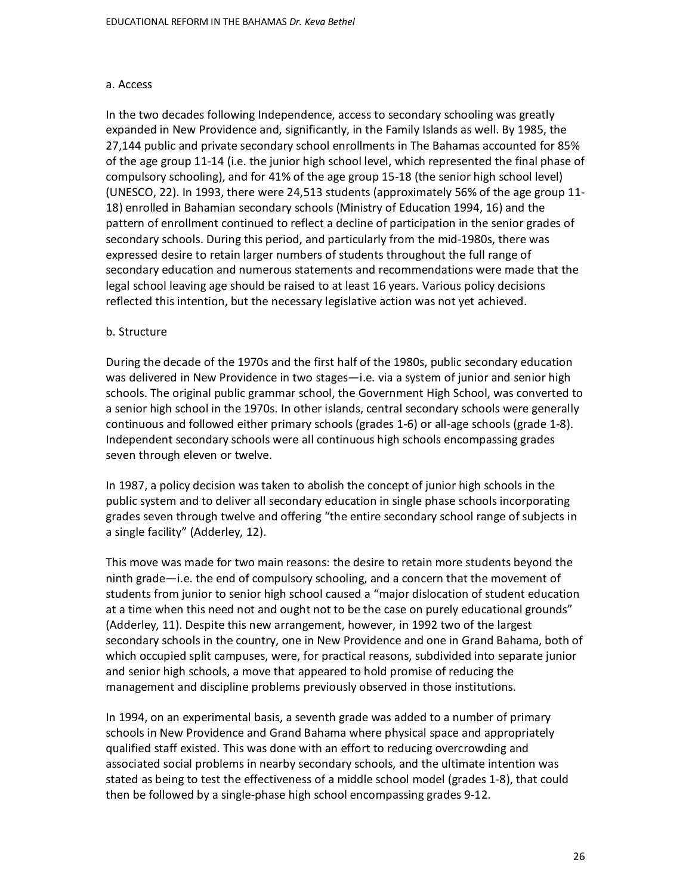#### a. Access

In the two decades following Independence, access to secondary schooling was greatly expanded in New Providence and, significantly, in the Family Islands as well. By 1985, the 27,144 public and private secondary school enrollments in The Bahamas accounted for 85% of the age group 11-14 (i.e. the junior high school level, which represented the final phase of compulsory schooling), and for 41% of the age group 15-18 (the senior high school level) (UNESCO, 22). In 1993, there were 24,513 students (approximately 56% of the age group 11- 18) enrolled in Bahamian secondary schools (Ministry of Education 1994, 16) and the pattern of enrollment continued to reflect a decline of participation in the senior grades of secondary schools. During this period, and particularly from the mid-1980s, there was expressed desire to retain larger numbers of students throughout the full range of secondary education and numerous statements and recommendations were made that the legal school leaving age should be raised to at least 16 years. Various policy decisions reflected this intention, but the necessary legislative action was not yet achieved.

#### b. Structure

During the decade of the 1970s and the first half of the 1980s, public secondary education was delivered in New Providence in two stages—i.e. via a system of junior and senior high schools. The original public grammar school, the Government High School, was converted to a senior high school in the 1970s. In other islands, central secondary schools were generally continuous and followed either primary schools (grades 1-6) or all-age schools (grade 1-8). Independent secondary schools were all continuous high schools encompassing grades seven through eleven or twelve.

In 1987, a policy decision was taken to abolish the concept of junior high schools in the public system and to deliver all secondary education in single phase schools incorporating grades seven through twelve and offering "the entire secondary school range of subjects in a single facility" (Adderley, 12).

This move was made for two main reasons: the desire to retain more students beyond the ninth grade—i.e. the end of compulsory schooling, and a concern that the movement of students from junior to senior high school caused a "major dislocation of student education at a time when this need not and ought not to be the case on purely educational grounds" (Adderley, 11). Despite this new arrangement, however, in 1992 two of the largest secondary schools in the country, one in New Providence and one in Grand Bahama, both of which occupied split campuses, were, for practical reasons, subdivided into separate junior and senior high schools, a move that appeared to hold promise of reducing the management and discipline problems previously observed in those institutions.

In 1994, on an experimental basis, a seventh grade was added to a number of primary schools in New Providence and Grand Bahama where physical space and appropriately qualified staff existed. This was done with an effort to reducing overcrowding and associated social problems in nearby secondary schools, and the ultimate intention was stated as being to test the effectiveness of a middle school model (grades 1-8), that could then be followed by a single-phase high school encompassing grades 9-12.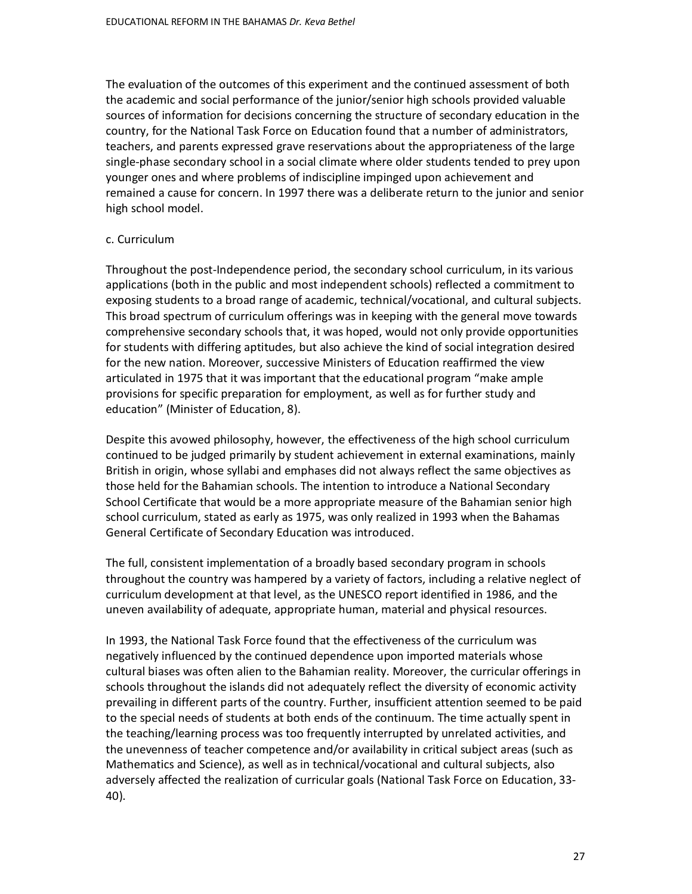The evaluation of the outcomes of this experiment and the continued assessment of both the academic and social performance of the junior/senior high schools provided valuable sources of information for decisions concerning the structure of secondary education in the country, for the National Task Force on Education found that a number of administrators, teachers, and parents expressed grave reservations about the appropriateness of the large single-phase secondary school in a social climate where older students tended to prey upon younger ones and where problems of indiscipline impinged upon achievement and remained a cause for concern. In 1997 there was a deliberate return to the junior and senior high school model.

#### c. Curriculum

Throughout the post-Independence period, the secondary school curriculum, in its various applications (both in the public and most independent schools) reflected a commitment to exposing students to a broad range of academic, technical/vocational, and cultural subjects. This broad spectrum of curriculum offerings was in keeping with the general move towards comprehensive secondary schools that, it was hoped, would not only provide opportunities for students with differing aptitudes, but also achieve the kind of social integration desired for the new nation. Moreover, successive Ministers of Education reaffirmed the view articulated in 1975 that it was important that the educational program "make ample provisions for specific preparation for employment, as well as for further study and education" (Minister of Education, 8).

Despite this avowed philosophy, however, the effectiveness of the high school curriculum continued to be judged primarily by student achievement in external examinations, mainly British in origin, whose syllabi and emphases did not always reflect the same objectives as those held for the Bahamian schools. The intention to introduce a National Secondary School Certificate that would be a more appropriate measure of the Bahamian senior high school curriculum, stated as early as 1975, was only realized in 1993 when the Bahamas General Certificate of Secondary Education was introduced.

The full, consistent implementation of a broadly based secondary program in schools throughout the country was hampered by a variety of factors, including a relative neglect of curriculum development at that level, as the UNESCO report identified in 1986, and the uneven availability of adequate, appropriate human, material and physical resources.

In 1993, the National Task Force found that the effectiveness of the curriculum was negatively influenced by the continued dependence upon imported materials whose cultural biases was often alien to the Bahamian reality. Moreover, the curricular offerings in schools throughout the islands did not adequately reflect the diversity of economic activity prevailing in different parts of the country. Further, insufficient attention seemed to be paid to the special needs of students at both ends of the continuum. The time actually spent in the teaching/learning process was too frequently interrupted by unrelated activities, and the unevenness of teacher competence and/or availability in critical subject areas (such as Mathematics and Science), as well as in technical/vocational and cultural subjects, also adversely affected the realization of curricular goals (National Task Force on Education, 33- 40).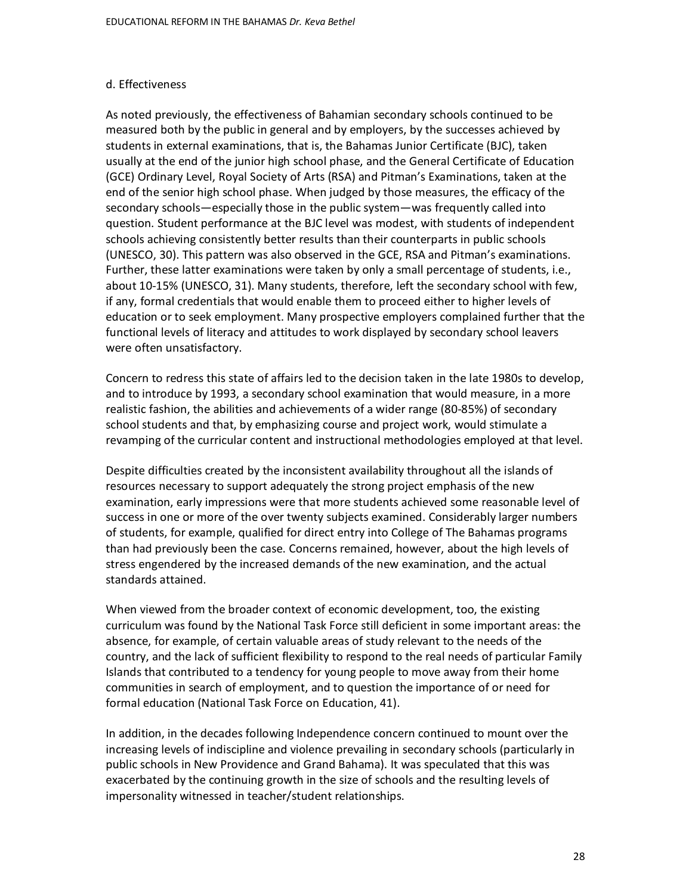### d. Effectiveness

As noted previously, the effectiveness of Bahamian secondary schools continued to be measured both by the public in general and by employers, by the successes achieved by students in external examinations, that is, the Bahamas Junior Certificate (BJC), taken usually at the end of the junior high school phase, and the General Certificate of Education (GCE) Ordinary Level, Royal Society of Arts (RSA) and Pitman's Examinations, taken at the end of the senior high school phase. When judged by those measures, the efficacy of the secondary schools—especially those in the public system—was frequently called into question. Student performance at the BJC level was modest, with students of independent schools achieving consistently better results than their counterparts in public schools (UNESCO, 30). This pattern was also observed in the GCE, RSA and Pitman's examinations. Further, these latter examinations were taken by only a small percentage of students, i.e., about 10-15% (UNESCO, 31). Many students, therefore, left the secondary school with few, if any, formal credentials that would enable them to proceed either to higher levels of education or to seek employment. Many prospective employers complained further that the functional levels of literacy and attitudes to work displayed by secondary school leavers were often unsatisfactory.

Concern to redress this state of affairs led to the decision taken in the late 1980s to develop, and to introduce by 1993, a secondary school examination that would measure, in a more realistic fashion, the abilities and achievements of a wider range (80-85%) of secondary school students and that, by emphasizing course and project work, would stimulate a revamping of the curricular content and instructional methodologies employed at that level.

Despite difficulties created by the inconsistent availability throughout all the islands of resources necessary to support adequately the strong project emphasis of the new examination, early impressions were that more students achieved some reasonable level of success in one or more of the over twenty subjects examined. Considerably larger numbers of students, for example, qualified for direct entry into College of The Bahamas programs than had previously been the case. Concerns remained, however, about the high levels of stress engendered by the increased demands of the new examination, and the actual standards attained.

When viewed from the broader context of economic development, too, the existing curriculum was found by the National Task Force still deficient in some important areas: the absence, for example, of certain valuable areas of study relevant to the needs of the country, and the lack of sufficient flexibility to respond to the real needs of particular Family Islands that contributed to a tendency for young people to move away from their home communities in search of employment, and to question the importance of or need for formal education (National Task Force on Education, 41).

In addition, in the decades following Independence concern continued to mount over the increasing levels of indiscipline and violence prevailing in secondary schools (particularly in public schools in New Providence and Grand Bahama). It was speculated that this was exacerbated by the continuing growth in the size of schools and the resulting levels of impersonality witnessed in teacher/student relationships.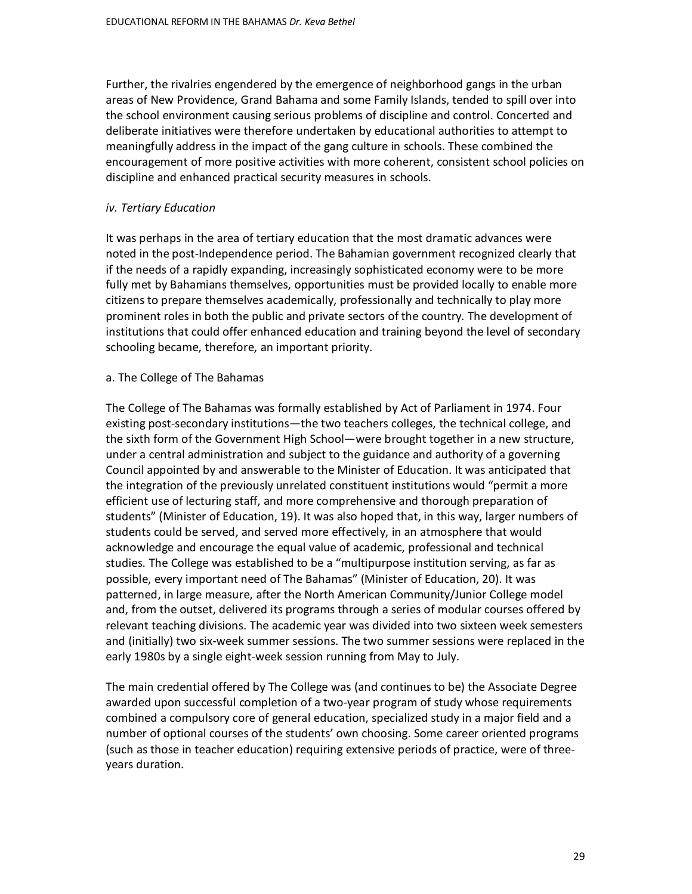Further, the rivalries engendered by the emergence of neighborhood gangs in the urban areas of New Providence, Grand Bahama and some Family Islands, tended to spill over into the school environment causing serious problems of discipline and control. Concerted and deliberate initiatives were therefore undertaken by educational authorities to attempt to meaningfully address in the impact of the gang culture in schools. These combined the encouragement of more positive activities with more coherent, consistent school policies on discipline and enhanced practical security measures in schools.

### *iv. Tertiary Education*

It was perhaps in the area of tertiary education that the most dramatic advances were noted in the post-Independence period. The Bahamian government recognized clearly that if the needs of a rapidly expanding, increasingly sophisticated economy were to be more fully met by Bahamians themselves, opportunities must be provided locally to enable more citizens to prepare themselves academically, professionally and technically to play more prominent roles in both the public and private sectors of the country. The development of institutions that could offer enhanced education and training beyond the level of secondary schooling became, therefore, an important priority.

### a. The College of The Bahamas

The College of The Bahamas was formally established by Act of Parliament in 1974. Four existing post-secondary institutions—the two teachers colleges, the technical college, and the sixth form of the Government High School—were brought together in a new structure, under a central administration and subject to the guidance and authority of a governing Council appointed by and answerable to the Minister of Education. It was anticipated that the integration of the previously unrelated constituent institutions would "permit a more efficient use of lecturing staff, and more comprehensive and thorough preparation of students" (Minister of Education, 19). It was also hoped that, in this way, larger numbers of students could be served, and served more effectively, in an atmosphere that would acknowledge and encourage the equal value of academic, professional and technical studies. The College was established to be a "multipurpose institution serving, as far as possible, every important need of The Bahamas" (Minister of Education, 20). It was patterned, in large measure, after the North American Community/Junior College model and, from the outset, delivered its programs through a series of modular courses offered by relevant teaching divisions. The academic year was divided into two sixteen week semesters and (initially) two six-week summer sessions. The two summer sessions were replaced in the early 1980s by a single eight-week session running from May to July.

The main credential offered by The College was (and continues to be) the Associate Degree awarded upon successful completion of a two-year program of study whose requirements combined a compulsory core of general education, specialized study in a major field and a number of optional courses of the students' own choosing. Some career oriented programs (such as those in teacher education) requiring extensive periods of practice, were of threeyears duration.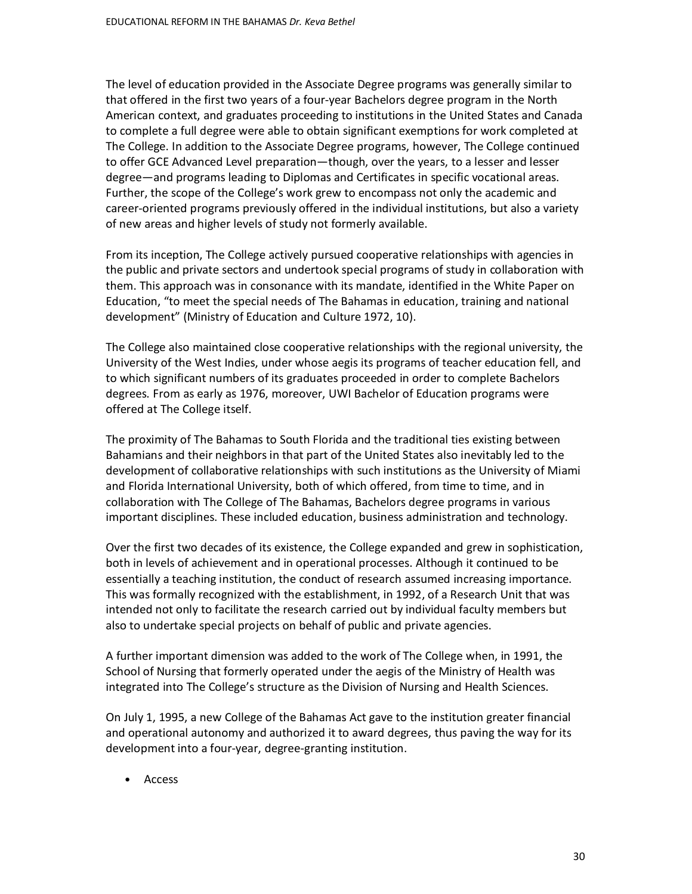The level of education provided in the Associate Degree programs was generally similar to that offered in the first two years of a four-year Bachelors degree program in the North American context, and graduates proceeding to institutions in the United States and Canada to complete a full degree were able to obtain significant exemptions for work completed at The College. In addition to the Associate Degree programs, however, The College continued to offer GCE Advanced Level preparation—though, over the years, to a lesser and lesser degree—and programs leading to Diplomas and Certificates in specific vocational areas. Further, the scope of the College's work grew to encompass not only the academic and career-oriented programs previously offered in the individual institutions, but also a variety of new areas and higher levels of study not formerly available.

From its inception, The College actively pursued cooperative relationships with agencies in the public and private sectors and undertook special programs of study in collaboration with them. This approach was in consonance with its mandate, identified in the White Paper on Education, "to meet the special needs of The Bahamas in education, training and national development" (Ministry of Education and Culture 1972, 10).

The College also maintained close cooperative relationships with the regional university, the University of the West Indies, under whose aegis its programs of teacher education fell, and to which significant numbers of its graduates proceeded in order to complete Bachelors degrees. From as early as 1976, moreover, UWI Bachelor of Education programs were offered at The College itself.

The proximity of The Bahamas to South Florida and the traditional ties existing between Bahamians and their neighbors in that part of the United States also inevitably led to the development of collaborative relationships with such institutions as the University of Miami and Florida International University, both of which offered, from time to time, and in collaboration with The College of The Bahamas, Bachelors degree programs in various important disciplines. These included education, business administration and technology.

Over the first two decades of its existence, the College expanded and grew in sophistication, both in levels of achievement and in operational processes. Although it continued to be essentially a teaching institution, the conduct of research assumed increasing importance. This was formally recognized with the establishment, in 1992, of a Research Unit that was intended not only to facilitate the research carried out by individual faculty members but also to undertake special projects on behalf of public and private agencies.

A further important dimension was added to the work of The College when, in 1991, the School of Nursing that formerly operated under the aegis of the Ministry of Health was integrated into The College's structure as the Division of Nursing and Health Sciences.

On July 1, 1995, a new College of the Bahamas Act gave to the institution greater financial and operational autonomy and authorized it to award degrees, thus paving the way for its development into a four-year, degree-granting institution.

• Access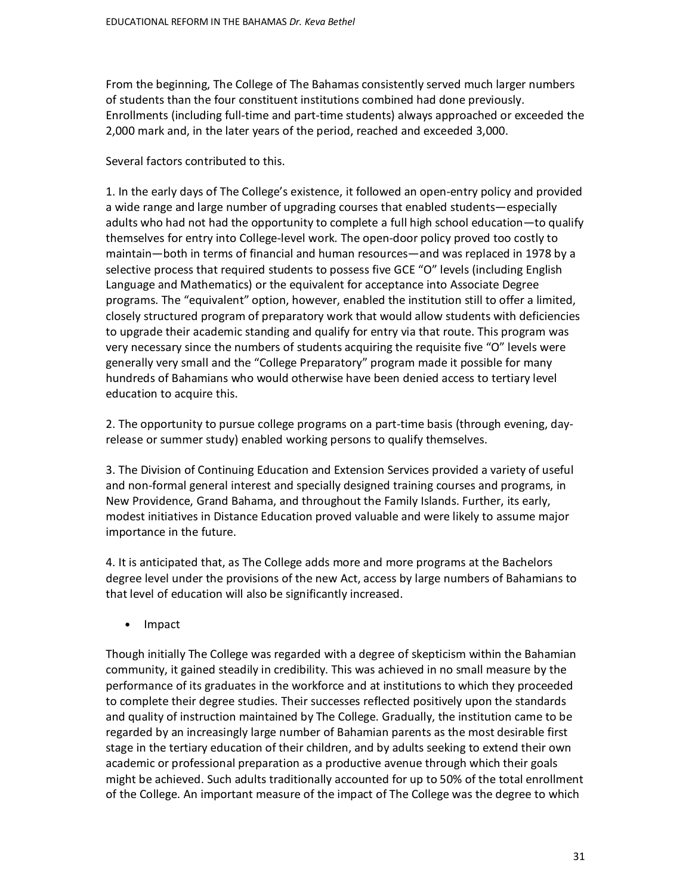From the beginning, The College of The Bahamas consistently served much larger numbers of students than the four constituent institutions combined had done previously. Enrollments (including full-time and part-time students) always approached or exceeded the 2,000 mark and, in the later years of the period, reached and exceeded 3,000.

# Several factors contributed to this.

1. In the early days of The College's existence, it followed an open-entry policy and provided a wide range and large number of upgrading courses that enabled students—especially adults who had not had the opportunity to complete a full high school education—to qualify themselves for entry into College-level work. The open-door policy proved too costly to maintain—both in terms of financial and human resources—and was replaced in 1978 by a selective process that required students to possess five GCE "O" levels (including English Language and Mathematics) or the equivalent for acceptance into Associate Degree programs. The "equivalent" option, however, enabled the institution still to offer a limited, closely structured program of preparatory work that would allow students with deficiencies to upgrade their academic standing and qualify for entry via that route. This program was very necessary since the numbers of students acquiring the requisite five "O" levels were generally very small and the "College Preparatory" program made it possible for many hundreds of Bahamians who would otherwise have been denied access to tertiary level education to acquire this.

2. The opportunity to pursue college programs on a part-time basis (through evening, dayrelease or summer study) enabled working persons to qualify themselves.

3. The Division of Continuing Education and Extension Services provided a variety of useful and non-formal general interest and specially designed training courses and programs, in New Providence, Grand Bahama, and throughout the Family Islands. Further, its early, modest initiatives in Distance Education proved valuable and were likely to assume major importance in the future.

4. It is anticipated that, as The College adds more and more programs at the Bachelors degree level under the provisions of the new Act, access by large numbers of Bahamians to that level of education will also be significantly increased.

• Impact

Though initially The College was regarded with a degree of skepticism within the Bahamian community, it gained steadily in credibility. This was achieved in no small measure by the performance of its graduates in the workforce and at institutions to which they proceeded to complete their degree studies. Their successes reflected positively upon the standards and quality of instruction maintained by The College. Gradually, the institution came to be regarded by an increasingly large number of Bahamian parents as the most desirable first stage in the tertiary education of their children, and by adults seeking to extend their own academic or professional preparation as a productive avenue through which their goals might be achieved. Such adults traditionally accounted for up to 50% of the total enrollment of the College. An important measure of the impact of The College was the degree to which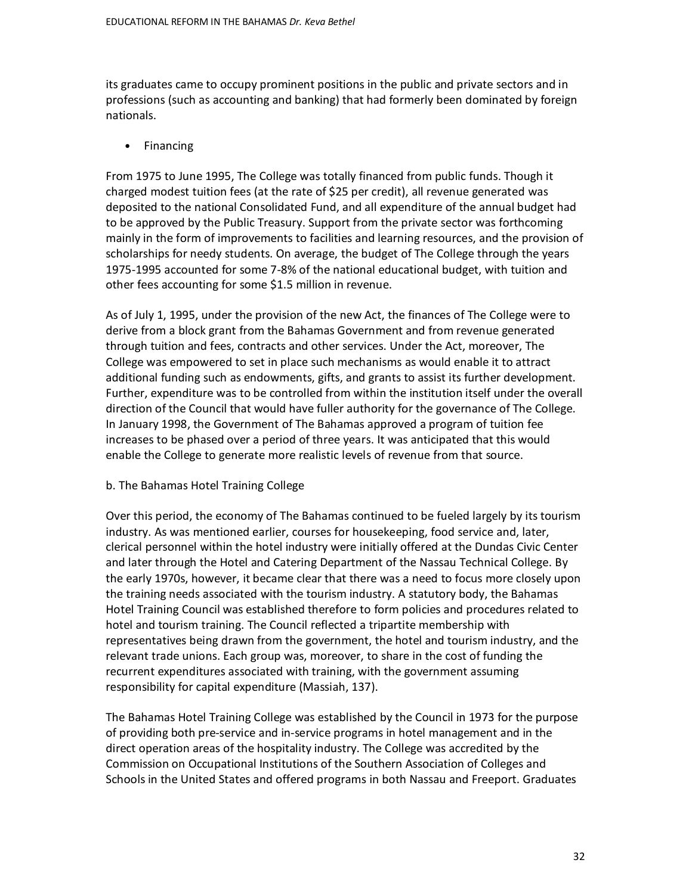its graduates came to occupy prominent positions in the public and private sectors and in professions (such as accounting and banking) that had formerly been dominated by foreign nationals.

• Financing

From 1975 to June 1995, The College was totally financed from public funds. Though it charged modest tuition fees (at the rate of \$25 per credit), all revenue generated was deposited to the national Consolidated Fund, and all expenditure of the annual budget had to be approved by the Public Treasury. Support from the private sector was forthcoming mainly in the form of improvements to facilities and learning resources, and the provision of scholarships for needy students. On average, the budget of The College through the years 1975-1995 accounted for some 7-8% of the national educational budget, with tuition and other fees accounting for some \$1.5 million in revenue.

As of July 1, 1995, under the provision of the new Act, the finances of The College were to derive from a block grant from the Bahamas Government and from revenue generated through tuition and fees, contracts and other services. Under the Act, moreover, The College was empowered to set in place such mechanisms as would enable it to attract additional funding such as endowments, gifts, and grants to assist its further development. Further, expenditure was to be controlled from within the institution itself under the overall direction of the Council that would have fuller authority for the governance of The College. In January 1998, the Government of The Bahamas approved a program of tuition fee increases to be phased over a period of three years. It was anticipated that this would enable the College to generate more realistic levels of revenue from that source.

## b. The Bahamas Hotel Training College

Over this period, the economy of The Bahamas continued to be fueled largely by its tourism industry. As was mentioned earlier, courses for housekeeping, food service and, later, clerical personnel within the hotel industry were initially offered at the Dundas Civic Center and later through the Hotel and Catering Department of the Nassau Technical College. By the early 1970s, however, it became clear that there was a need to focus more closely upon the training needs associated with the tourism industry. A statutory body, the Bahamas Hotel Training Council was established therefore to form policies and procedures related to hotel and tourism training. The Council reflected a tripartite membership with representatives being drawn from the government, the hotel and tourism industry, and the relevant trade unions. Each group was, moreover, to share in the cost of funding the recurrent expenditures associated with training, with the government assuming responsibility for capital expenditure (Massiah, 137).

The Bahamas Hotel Training College was established by the Council in 1973 for the purpose of providing both pre-service and in-service programs in hotel management and in the direct operation areas of the hospitality industry. The College was accredited by the Commission on Occupational Institutions of the Southern Association of Colleges and Schools in the United States and offered programs in both Nassau and Freeport. Graduates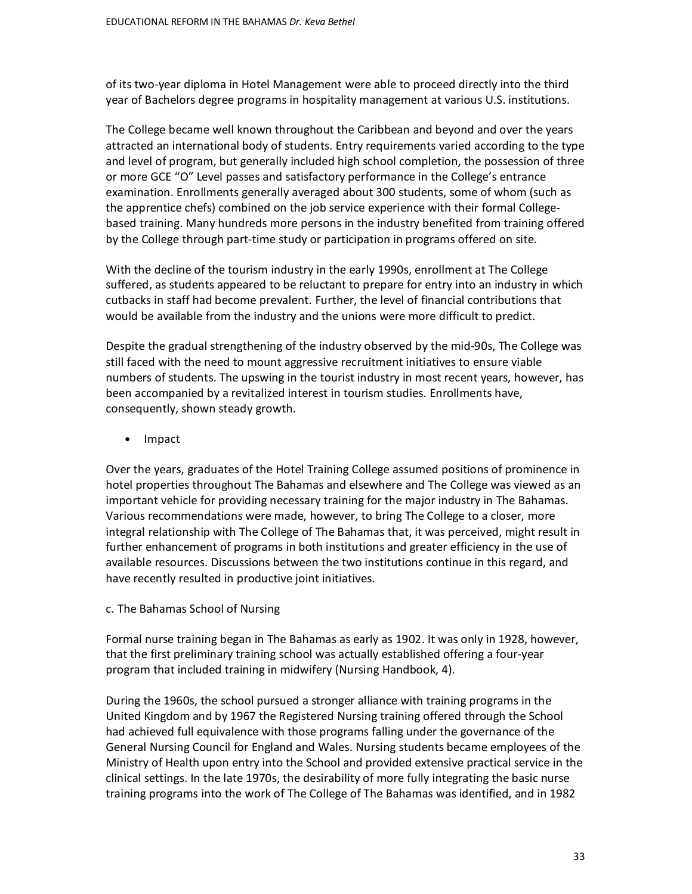of its two-year diploma in Hotel Management were able to proceed directly into the third year of Bachelors degree programs in hospitality management at various U.S. institutions.

The College became well known throughout the Caribbean and beyond and over the years attracted an international body of students. Entry requirements varied according to the type and level of program, but generally included high school completion, the possession of three or more GCE "O" Level passes and satisfactory performance in the College's entrance examination. Enrollments generally averaged about 300 students, some of whom (such as the apprentice chefs) combined on the job service experience with their formal Collegebased training. Many hundreds more persons in the industry benefited from training offered by the College through part-time study or participation in programs offered on site.

With the decline of the tourism industry in the early 1990s, enrollment at The College suffered, as students appeared to be reluctant to prepare for entry into an industry in which cutbacks in staff had become prevalent. Further, the level of financial contributions that would be available from the industry and the unions were more difficult to predict.

Despite the gradual strengthening of the industry observed by the mid-90s, The College was still faced with the need to mount aggressive recruitment initiatives to ensure viable numbers of students. The upswing in the tourist industry in most recent years, however, has been accompanied by a revitalized interest in tourism studies. Enrollments have, consequently, shown steady growth.

• Impact

Over the years, graduates of the Hotel Training College assumed positions of prominence in hotel properties throughout The Bahamas and elsewhere and The College was viewed as an important vehicle for providing necessary training for the major industry in The Bahamas. Various recommendations were made, however, to bring The College to a closer, more integral relationship with The College of The Bahamas that, it was perceived, might result in further enhancement of programs in both institutions and greater efficiency in the use of available resources. Discussions between the two institutions continue in this regard, and have recently resulted in productive joint initiatives.

c. The Bahamas School of Nursing

Formal nurse training began in The Bahamas as early as 1902. It was only in 1928, however, that the first preliminary training school was actually established offering a four-year program that included training in midwifery (Nursing Handbook, 4).

During the 1960s, the school pursued a stronger alliance with training programs in the United Kingdom and by 1967 the Registered Nursing training offered through the School had achieved full equivalence with those programs falling under the governance of the General Nursing Council for England and Wales. Nursing students became employees of the Ministry of Health upon entry into the School and provided extensive practical service in the clinical settings. In the late 1970s, the desirability of more fully integrating the basic nurse training programs into the work of The College of The Bahamas was identified, and in 1982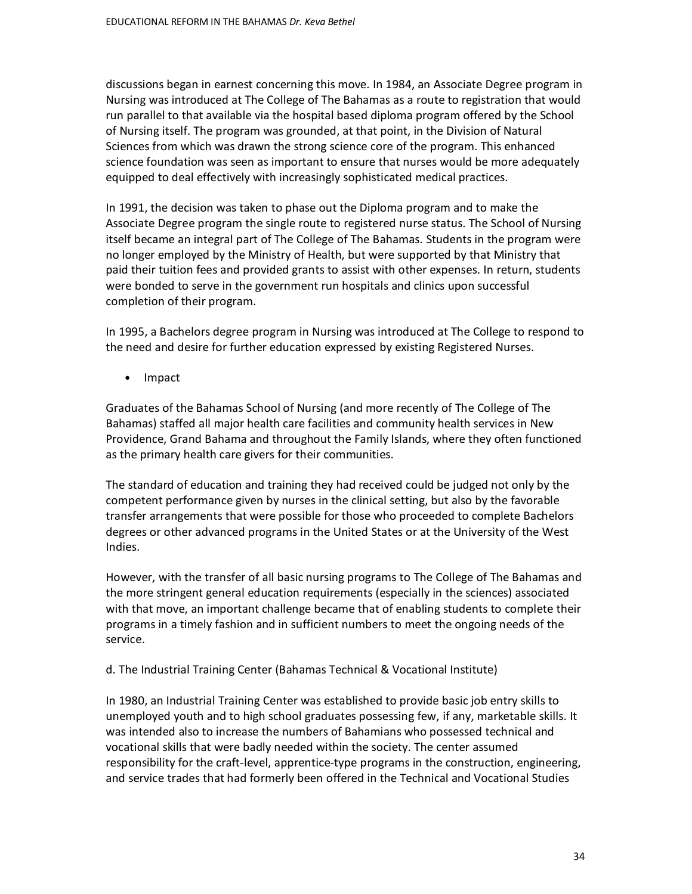discussions began in earnest concerning this move. In 1984, an Associate Degree program in Nursing was introduced at The College of The Bahamas as a route to registration that would run parallel to that available via the hospital based diploma program offered by the School of Nursing itself. The program was grounded, at that point, in the Division of Natural Sciences from which was drawn the strong science core of the program. This enhanced science foundation was seen as important to ensure that nurses would be more adequately equipped to deal effectively with increasingly sophisticated medical practices.

In 1991, the decision was taken to phase out the Diploma program and to make the Associate Degree program the single route to registered nurse status. The School of Nursing itself became an integral part of The College of The Bahamas. Students in the program were no longer employed by the Ministry of Health, but were supported by that Ministry that paid their tuition fees and provided grants to assist with other expenses. In return, students were bonded to serve in the government run hospitals and clinics upon successful completion of their program.

In 1995, a Bachelors degree program in Nursing was introduced at The College to respond to the need and desire for further education expressed by existing Registered Nurses.

• Impact

Graduates of the Bahamas School of Nursing (and more recently of The College of The Bahamas) staffed all major health care facilities and community health services in New Providence, Grand Bahama and throughout the Family Islands, where they often functioned as the primary health care givers for their communities.

The standard of education and training they had received could be judged not only by the competent performance given by nurses in the clinical setting, but also by the favorable transfer arrangements that were possible for those who proceeded to complete Bachelors degrees or other advanced programs in the United States or at the University of the West Indies.

However, with the transfer of all basic nursing programs to The College of The Bahamas and the more stringent general education requirements (especially in the sciences) associated with that move, an important challenge became that of enabling students to complete their programs in a timely fashion and in sufficient numbers to meet the ongoing needs of the service.

d. The Industrial Training Center (Bahamas Technical & Vocational Institute)

In 1980, an Industrial Training Center was established to provide basic job entry skills to unemployed youth and to high school graduates possessing few, if any, marketable skills. It was intended also to increase the numbers of Bahamians who possessed technical and vocational skills that were badly needed within the society. The center assumed responsibility for the craft-level, apprentice-type programs in the construction, engineering, and service trades that had formerly been offered in the Technical and Vocational Studies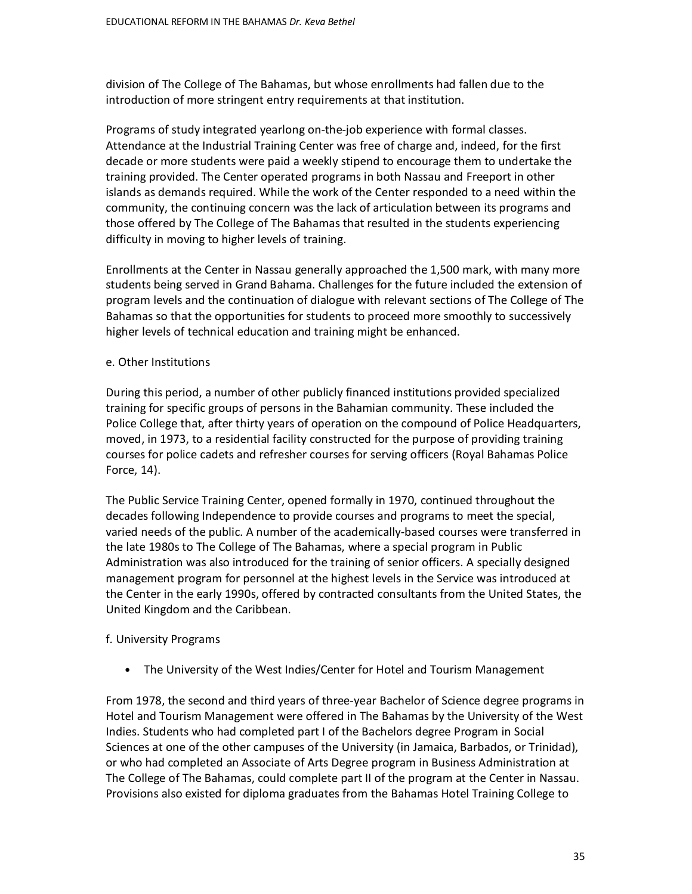division of The College of The Bahamas, but whose enrollments had fallen due to the introduction of more stringent entry requirements at that institution.

Programs of study integrated yearlong on-the-job experience with formal classes. Attendance at the Industrial Training Center was free of charge and, indeed, for the first decade or more students were paid a weekly stipend to encourage them to undertake the training provided. The Center operated programs in both Nassau and Freeport in other islands as demands required. While the work of the Center responded to a need within the community, the continuing concern was the lack of articulation between its programs and those offered by The College of The Bahamas that resulted in the students experiencing difficulty in moving to higher levels of training.

Enrollments at the Center in Nassau generally approached the 1,500 mark, with many more students being served in Grand Bahama. Challenges for the future included the extension of program levels and the continuation of dialogue with relevant sections of The College of The Bahamas so that the opportunities for students to proceed more smoothly to successively higher levels of technical education and training might be enhanced.

### e. Other Institutions

During this period, a number of other publicly financed institutions provided specialized training for specific groups of persons in the Bahamian community. These included the Police College that, after thirty years of operation on the compound of Police Headquarters, moved, in 1973, to a residential facility constructed for the purpose of providing training courses for police cadets and refresher courses for serving officers (Royal Bahamas Police Force, 14).

The Public Service Training Center, opened formally in 1970, continued throughout the decades following Independence to provide courses and programs to meet the special, varied needs of the public. A number of the academically-based courses were transferred in the late 1980s to The College of The Bahamas, where a special program in Public Administration was also introduced for the training of senior officers. A specially designed management program for personnel at the highest levels in the Service was introduced at the Center in the early 1990s, offered by contracted consultants from the United States, the United Kingdom and the Caribbean.

## f. University Programs

• The University of the West Indies/Center for Hotel and Tourism Management

From 1978, the second and third years of three-year Bachelor of Science degree programs in Hotel and Tourism Management were offered in The Bahamas by the University of the West Indies. Students who had completed part I of the Bachelors degree Program in Social Sciences at one of the other campuses of the University (in Jamaica, Barbados, or Trinidad), or who had completed an Associate of Arts Degree program in Business Administration at The College of The Bahamas, could complete part II of the program at the Center in Nassau. Provisions also existed for diploma graduates from the Bahamas Hotel Training College to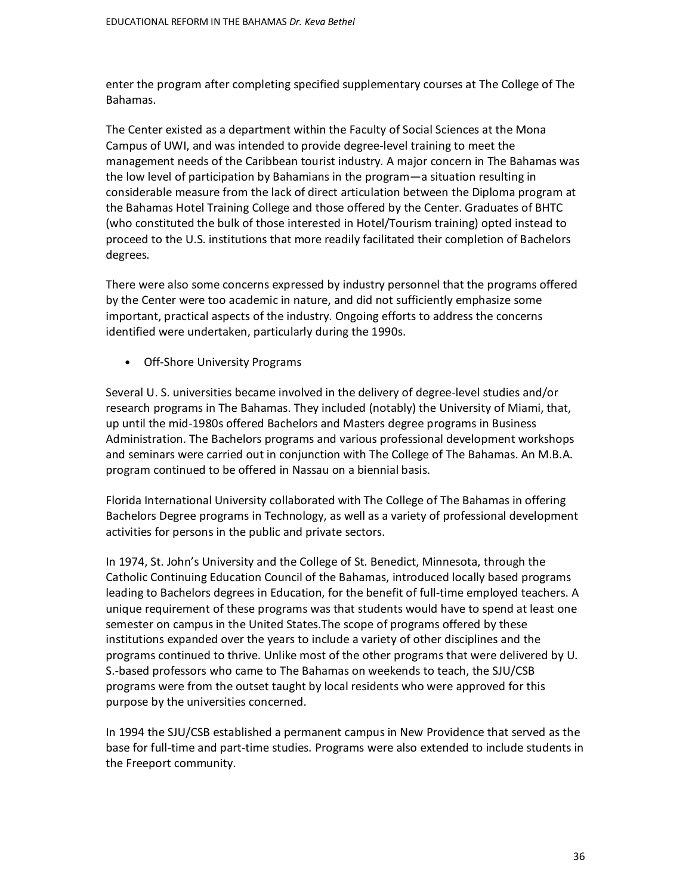enter the program after completing specified supplementary courses at The College of The Bahamas.

The Center existed as a department within the Faculty of Social Sciences at the Mona Campus of UWI, and was intended to provide degree-level training to meet the management needs of the Caribbean tourist industry. A major concern in The Bahamas was the low level of participation by Bahamians in the program—a situation resulting in considerable measure from the lack of direct articulation between the Diploma program at the Bahamas Hotel Training College and those offered by the Center. Graduates of BHTC (who constituted the bulk of those interested in Hotel/Tourism training) opted instead to proceed to the U.S. institutions that more readily facilitated their completion of Bachelors degrees.

There were also some concerns expressed by industry personnel that the programs offered by the Center were too academic in nature, and did not sufficiently emphasize some important, practical aspects of the industry. Ongoing efforts to address the concerns identified were undertaken, particularly during the 1990s.

• Off-Shore University Programs

Several U. S. universities became involved in the delivery of degree-level studies and/or research programs in The Bahamas. They included (notably) the University of Miami, that, up until the mid-1980s offered Bachelors and Masters degree programs in Business Administration. The Bachelors programs and various professional development workshops and seminars were carried out in conjunction with The College of The Bahamas. An M.B.A. program continued to be offered in Nassau on a biennial basis.

Florida International University collaborated with The College of The Bahamas in offering Bachelors Degree programs in Technology, as well as a variety of professional development activities for persons in the public and private sectors.

In 1974, St. John's University and the College of St. Benedict, Minnesota, through the Catholic Continuing Education Council of the Bahamas, introduced locally based programs leading to Bachelors degrees in Education, for the benefit of full-time employed teachers. A unique requirement of these programs was that students would have to spend at least one semester on campus in the United States.The scope of programs offered by these institutions expanded over the years to include a variety of other disciplines and the programs continued to thrive. Unlike most of the other programs that were delivered by U. S.-based professors who came to The Bahamas on weekends to teach, the SJU/CSB programs were from the outset taught by local residents who were approved for this purpose by the universities concerned.

In 1994 the SJU/CSB established a permanent campus in New Providence that served as the base for full-time and part-time studies. Programs were also extended to include students in the Freeport community.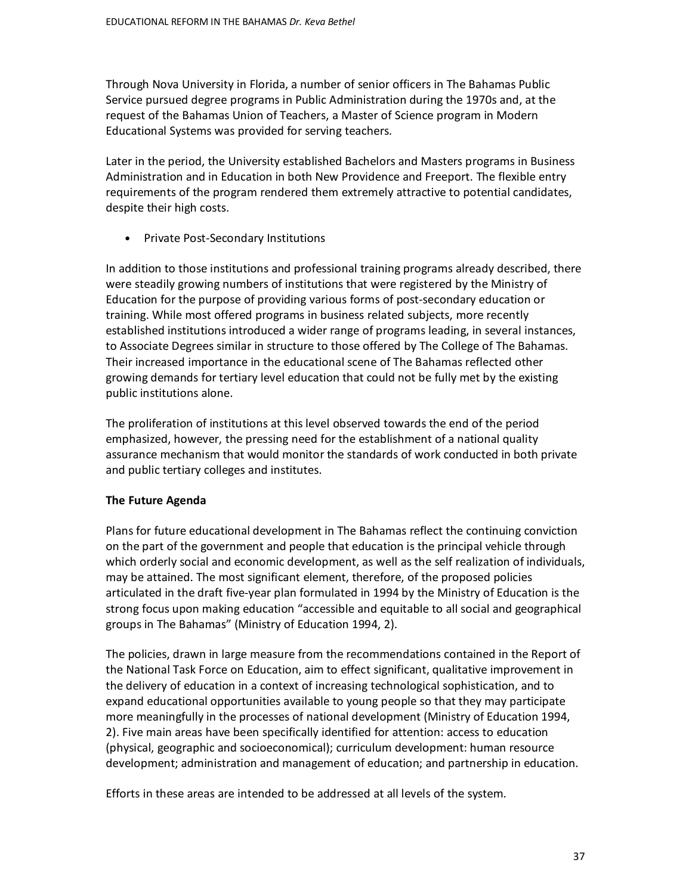Through Nova University in Florida, a number of senior officers in The Bahamas Public Service pursued degree programs in Public Administration during the 1970s and, at the request of the Bahamas Union of Teachers, a Master of Science program in Modern Educational Systems was provided for serving teachers.

Later in the period, the University established Bachelors and Masters programs in Business Administration and in Education in both New Providence and Freeport. The flexible entry requirements of the program rendered them extremely attractive to potential candidates, despite their high costs.

• Private Post-Secondary Institutions

In addition to those institutions and professional training programs already described, there were steadily growing numbers of institutions that were registered by the Ministry of Education for the purpose of providing various forms of post-secondary education or training. While most offered programs in business related subjects, more recently established institutions introduced a wider range of programs leading, in several instances, to Associate Degrees similar in structure to those offered by The College of The Bahamas. Their increased importance in the educational scene of The Bahamas reflected other growing demands for tertiary level education that could not be fully met by the existing public institutions alone.

The proliferation of institutions at this level observed towards the end of the period emphasized, however, the pressing need for the establishment of a national quality assurance mechanism that would monitor the standards of work conducted in both private and public tertiary colleges and institutes.

# **The Future Agenda**

Plans for future educational development in The Bahamas reflect the continuing conviction on the part of the government and people that education is the principal vehicle through which orderly social and economic development, as well as the self realization of individuals, may be attained. The most significant element, therefore, of the proposed policies articulated in the draft five-year plan formulated in 1994 by the Ministry of Education is the strong focus upon making education "accessible and equitable to all social and geographical groups in The Bahamas" (Ministry of Education 1994, 2).

The policies, drawn in large measure from the recommendations contained in the Report of the National Task Force on Education, aim to effect significant, qualitative improvement in the delivery of education in a context of increasing technological sophistication, and to expand educational opportunities available to young people so that they may participate more meaningfully in the processes of national development (Ministry of Education 1994, 2). Five main areas have been specifically identified for attention: access to education (physical, geographic and socioeconomical); curriculum development: human resource development; administration and management of education; and partnership in education.

Efforts in these areas are intended to be addressed at all levels of the system.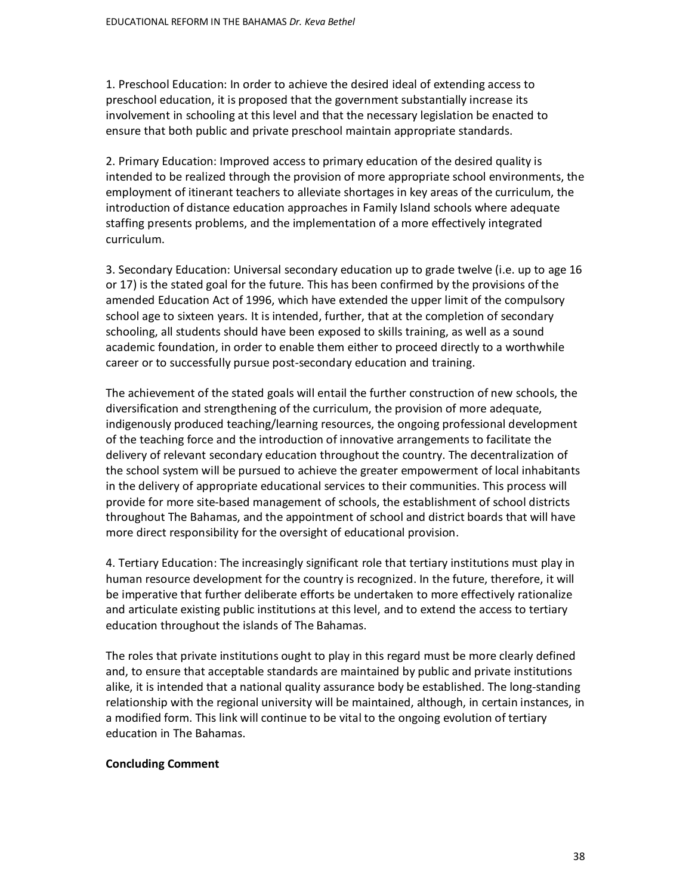1. Preschool Education: In order to achieve the desired ideal of extending access to preschool education, it is proposed that the government substantially increase its involvement in schooling at this level and that the necessary legislation be enacted to ensure that both public and private preschool maintain appropriate standards.

2. Primary Education: Improved access to primary education of the desired quality is intended to be realized through the provision of more appropriate school environments, the employment of itinerant teachers to alleviate shortages in key areas of the curriculum, the introduction of distance education approaches in Family Island schools where adequate staffing presents problems, and the implementation of a more effectively integrated curriculum.

3. Secondary Education: Universal secondary education up to grade twelve (i.e. up to age 16 or 17) is the stated goal for the future. This has been confirmed by the provisions of the amended Education Act of 1996, which have extended the upper limit of the compulsory school age to sixteen years. It is intended, further, that at the completion of secondary schooling, all students should have been exposed to skills training, as well as a sound academic foundation, in order to enable them either to proceed directly to a worthwhile career or to successfully pursue post-secondary education and training.

The achievement of the stated goals will entail the further construction of new schools, the diversification and strengthening of the curriculum, the provision of more adequate, indigenously produced teaching/learning resources, the ongoing professional development of the teaching force and the introduction of innovative arrangements to facilitate the delivery of relevant secondary education throughout the country. The decentralization of the school system will be pursued to achieve the greater empowerment of local inhabitants in the delivery of appropriate educational services to their communities. This process will provide for more site-based management of schools, the establishment of school districts throughout The Bahamas, and the appointment of school and district boards that will have more direct responsibility for the oversight of educational provision.

4. Tertiary Education: The increasingly significant role that tertiary institutions must play in human resource development for the country is recognized. In the future, therefore, it will be imperative that further deliberate efforts be undertaken to more effectively rationalize and articulate existing public institutions at this level, and to extend the access to tertiary education throughout the islands of The Bahamas.

The roles that private institutions ought to play in this regard must be more clearly defined and, to ensure that acceptable standards are maintained by public and private institutions alike, it is intended that a national quality assurance body be established. The long-standing relationship with the regional university will be maintained, although, in certain instances, in a modified form. This link will continue to be vital to the ongoing evolution of tertiary education in The Bahamas.

## **Concluding Comment**